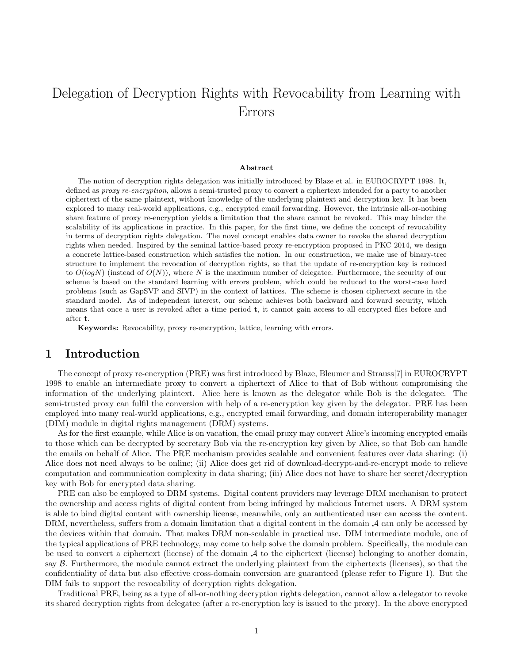# Delegation of Decryption Rights with Revocability from Learning with Errors

#### **Abstract**

The notion of decryption rights delegation was initially introduced by Blaze et al. in EUROCRYPT 1998. It, defined as *proxy re-encryption*, allows a semi-trusted proxy to convert a ciphertext intended for a party to another ciphertext of the same plaintext, without knowledge of the underlying plaintext and decryption key. It has been explored to many real-world applications, e.g., encrypted email forwarding. However, the intrinsic all-or-nothing share feature of proxy re-encryption yields a limitation that the share cannot be revoked. This may hinder the scalability of its applications in practice. In this paper, for the first time, we define the concept of revocability in terms of decryption rights delegation. The novel concept enables data owner to revoke the shared decryption rights when needed. Inspired by the seminal lattice-based proxy re-encryption proposed in PKC 2014, we design a concrete lattice-based construction which satisfies the notion. In our construction, we make use of binary-tree structure to implement the revocation of decryption rights, so that the update of re-encryption key is reduced to *O*(*logN*) (instead of *O*(*N*)), where *N* is the maximum number of delegatee. Furthermore, the security of our scheme is based on the standard learning with errors problem, which could be reduced to the worst-case hard problems (such as GapSVP and SIVP) in the context of lattices. The scheme is chosen ciphertext secure in the standard model. As of independent interest, our scheme achieves both backward and forward security, which means that once a user is revoked after a time period **t**, it cannot gain access to all encrypted files before and after **t**.

**Keywords:** Revocability, proxy re-encryption, lattice, learning with errors.

# **1 Introduction**

The concept of proxy re-encryption (PRE) was first introduced by Blaze, Bleumer and Strauss[7] in EUROCRYPT 1998 to enable an intermediate proxy to convert a ciphertext of Alice to that of Bob without compromising the information of the underlying plaintext. Alice here is known as the delegator while Bob is the delegatee. The semi-trusted proxy can fulfil the conversion with help of a re-encryption key given by the delegator. PRE has been employed into many real-world applications, e.g., encrypted email forwarding, and domain interoperability manager (DIM) module in digital rights management (DRM) systems.

As for the first example, while Alice is on vacation, the email proxy may convert Alice's incoming encrypted emails to those which can be decrypted by secretary Bob via the re-encryption key given by Alice, so that Bob can handle the emails on behalf of Alice. The PRE mechanism provides scalable and convenient features over data sharing: (i) Alice does not need always to be online; (ii) Alice does get rid of download-decrypt-and-re-encrypt mode to relieve computation and communication complexity in data sharing; (iii) Alice does not have to share her secret/decryption key with Bob for encrypted data sharing.

PRE can also be employed to DRM systems. Digital content providers may leverage DRM mechanism to protect the ownership and access rights of digital content from being infringed by malicious Internet users. A DRM system is able to bind digital content with ownership license, meanwhile, only an authenticated user can access the content. DRM, nevertheless, suffers from a domain limitation that a digital content in the domain *A* can only be accessed by the devices within that domain. That makes DRM non-scalable in practical use. DIM intermediate module, one of the typical applications of PRE technology, may come to help solve the domain problem. Specifically, the module can be used to convert a ciphertext (license) of the domain *A* to the ciphertext (license) belonging to another domain, say *B*. Furthermore, the module cannot extract the underlying plaintext from the ciphertexts (licenses), so that the confidentiality of data but also effective cross-domain conversion are guaranteed (please refer to Figure 1). But the DIM fails to support the revocability of decryption rights delegation.

Traditional PRE, being as a type of all-or-nothing decryption rights delegation, cannot allow a delegator to revoke its shared decryption rights from delegatee (after a re-encryption key is issued to the proxy). In the above encrypted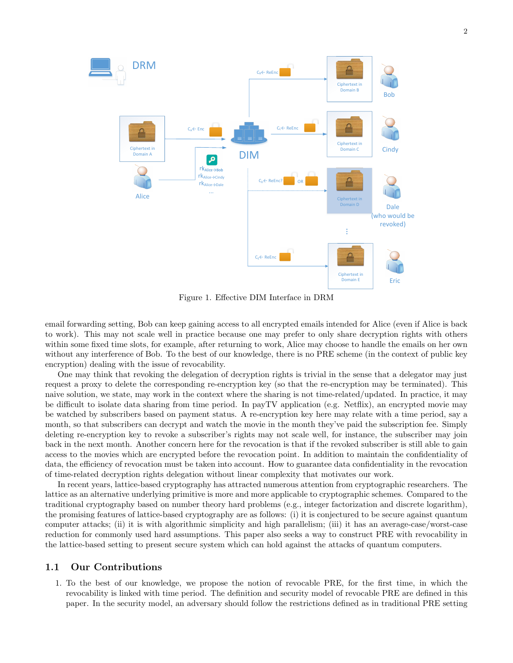

Figure 1. Effective DIM Interface in DRM

email forwarding setting, Bob can keep gaining access to all encrypted emails intended for Alice (even if Alice is back to work). This may not scale well in practice because one may prefer to only share decryption rights with others within some fixed time slots, for example, after returning to work, Alice may choose to handle the emails on her own without any interference of Bob. To the best of our knowledge, there is no PRE scheme (in the context of public key encryption) dealing with the issue of revocability.

One may think that revoking the delegation of decryption rights is trivial in the sense that a delegator may just request a proxy to delete the corresponding re-encryption key (so that the re-encryption may be terminated). This naive solution, we state, may work in the context where the sharing is not time-related/updated. In practice, it may be difficult to isolate data sharing from time period. In payTV application (e.g. Netflix), an encrypted movie may be watched by subscribers based on payment status. A re-encryption key here may relate with a time period, say a month, so that subscribers can decrypt and watch the movie in the month they've paid the subscription fee. Simply deleting re-encryption key to revoke a subscriber's rights may not scale well, for instance, the subscriber may join back in the next month. Another concern here for the revocation is that if the revoked subscriber is still able to gain access to the movies which are encrypted before the revocation point. In addition to maintain the confidentiality of data, the efficiency of revocation must be taken into account. How to guarantee data confidentiality in the revocation of time-related decryption rights delegation without linear complexity that motivates our work.

In recent years, lattice-based cryptography has attracted numerous attention from cryptographic researchers. The lattice as an alternative underlying primitive is more and more applicable to cryptographic schemes. Compared to the traditional cryptography based on number theory hard problems (e.g., integer factorization and discrete logarithm), the promising features of lattice-based cryptography are as follows: (i) it is conjectured to be secure against quantum computer attacks; (ii) it is with algorithmic simplicity and high parallelism; (iii) it has an average-case/worst-case reduction for commonly used hard assumptions. This paper also seeks a way to construct PRE with revocability in the lattice-based setting to present secure system which can hold against the attacks of quantum computers.

#### **1.1 Our Contributions**

1. To the best of our knowledge, we propose the notion of revocable PRE, for the first time, in which the revocability is linked with time period. The definition and security model of revocable PRE are defined in this paper. In the security model, an adversary should follow the restrictions defined as in traditional PRE setting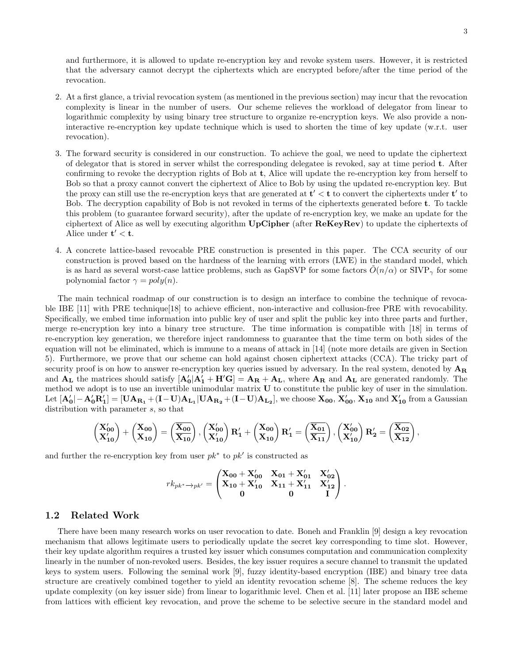and furthermore, it is allowed to update re-encryption key and revoke system users. However, it is restricted that the adversary cannot decrypt the ciphertexts which are encrypted before/after the time period of the revocation.

- 2. At a first glance, a trivial revocation system (as mentioned in the previous section) may incur that the revocation complexity is linear in the number of users. Our scheme relieves the workload of delegator from linear to logarithmic complexity by using binary tree structure to organize re-encryption keys. We also provide a noninteractive re-encryption key update technique which is used to shorten the time of key update (w.r.t. user revocation).
- 3. The forward security is considered in our construction. To achieve the goal, we need to update the ciphertext of delegator that is stored in server whilst the corresponding delegatee is revoked, say at time period **t**. After confirming to revoke the decryption rights of Bob at **t**, Alice will update the re-encryption key from herself to Bob so that a proxy cannot convert the ciphertext of Alice to Bob by using the updated re-encryption key. But the proxy can still use the re-encryption keys that are generated at  $t' < t$  to convert the ciphertexts under  $t'$  to Bob. The decryption capability of Bob is not revoked in terms of the ciphertexts generated before **t**. To tackle this problem (to guarantee forward security), after the update of re-encryption key, we make an update for the ciphertext of Alice as well by executing algorithm **UpCipher** (after **ReKeyRev**) to update the ciphertexts of Alice under  $t' < t$ .
- 4. A concrete lattice-based revocable PRE construction is presented in this paper. The CCA security of our construction is proved based on the hardness of the learning with errors (LWE) in the standard model, which is as hard as several worst-case lattice problems, such as GapSVP for some factors  $O(n/\alpha)$  or SIVP<sub> $\gamma$ </sub> for some polynomial factor  $\gamma = poly(n)$ .

The main technical roadmap of our construction is to design an interface to combine the technique of revocable IBE [11] with PRE technique<sup>[18]</sup> to achieve efficient, non-interactive and collusion-free PRE with revocability. Specifically, we embed time information into public key of user and split the public key into three parts and further, merge re-encryption key into a binary tree structure. The time information is compatible with [18] in terms of re-encryption key generation, we therefore inject randomness to guarantee that the time term on both sides of the equation will not be eliminated, which is immune to a means of attack in [14] (note more details are given in Section 5). Furthermore, we prove that our scheme can hold against chosen ciphertext attacks (CCA). The tricky part of security proof is on how to answer re-encryption key queries issued by adversary. In the real system, denoted by **A<sup>R</sup>** and  $A_L$  the matrices should satisfy  $[A'_0|A'_1 + H'G] = A_R + A_L$ , where  $A_R$  and  $A_L$  are generated randomly. The method we adopt is to use an invertible unimodular matrix **U** to constitute the public key of user in the simulation. Let  $[\mathbf{A'_0}]-\mathbf{A'_0}\mathbf{R'_1}]=[\mathbf{U}\mathbf{A_{R_1}}+(\mathbf{I}-\mathbf{U})\mathbf{A_{L_1}}]\mathbf{U}\mathbf{A_{R_2}}+(\mathbf{I}-\mathbf{U})\mathbf{A_{L_2}}]$ , we choose  $\mathbf{X_{00}},\mathbf{X'_{00}},\mathbf{X_{10}}$  and  $\mathbf{X'_{10}}$  from a Gaussian distribution with parameter *s*, so that

$$
\begin{pmatrix} X'_{00} \\ X'_{10} \end{pmatrix} + \begin{pmatrix} X_{00} \\ X_{10} \end{pmatrix} = \left( \frac{\overline{X}_{00}}{\overline{X}_{10}} \right), \begin{pmatrix} X'_{00} \\ X'_{10} \end{pmatrix} R'_1 + \left( \frac{X_{00}}{X_{10}} \right) R'_1 = \left( \frac{\overline{X}_{01}}{\overline{X}_{11}} \right), \begin{pmatrix} X'_{00} \\ X'_{10} \end{pmatrix} R'_2 = \left( \frac{\overline{X}_{02}}{\overline{X}_{12}} \right),
$$

and further the re-encryption key from user *pk<sup>∗</sup>* to *pk′* is constructed as

$$
rk_{pk^* \to pk'} = \begin{pmatrix} \mathbf{X_{00}} + \mathbf{X'_{00}} & \mathbf{X_{01}} + \mathbf{X'_{01}} & \mathbf{X'_{02}} \\ \mathbf{X_{10}} + \mathbf{X'_{10}} & \mathbf{X_{11}} + \mathbf{X'_{11}} & \mathbf{X'_{12}} \\ \mathbf{0} & \mathbf{0} & \mathbf{I} \end{pmatrix}.
$$

### **1.2 Related Work**

There have been many research works on user revocation to date. Boneh and Franklin [9] design a key revocation mechanism that allows legitimate users to periodically update the secret key corresponding to time slot. However, their key update algorithm requires a trusted key issuer which consumes computation and communication complexity linearly in the number of non-revoked users. Besides, the key issuer requires a secure channel to transmit the updated keys to system users. Following the seminal work [9], fuzzy identity-based encryption (IBE) and binary tree data structure are creatively combined together to yield an identity revocation scheme [8]. The scheme reduces the key update complexity (on key issuer side) from linear to logarithmic level. Chen et al. [11] later propose an IBE scheme from lattices with efficient key revocation, and prove the scheme to be selective secure in the standard model and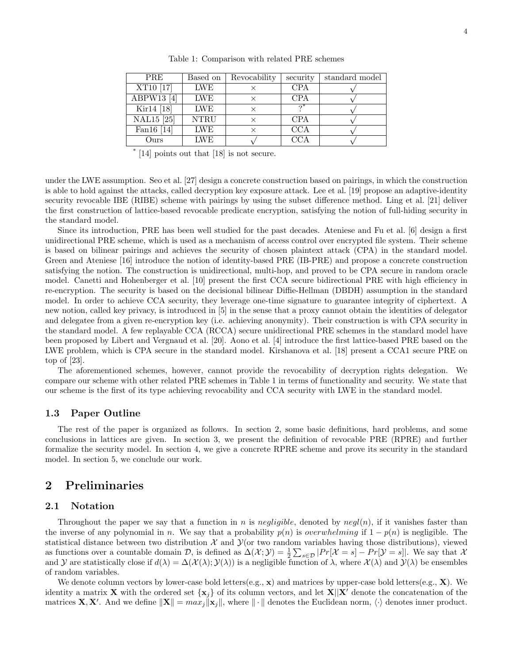| <b>PRE</b>   | Based on              | Revocability | security   | standard model |
|--------------|-----------------------|--------------|------------|----------------|
| XT10 [17]    | LWE                   |              | <b>CPA</b> |                |
| ABPW13 [4]   | <b>LWE</b>            |              | CPA        |                |
| Kir14 [18]   | LWE                   | $\times$     | $2^*$      |                |
| NAL15 [25]   | $\operatorname{NTRU}$ |              | <b>CPA</b> |                |
| Fan16 $[14]$ | LWE                   |              | <b>CCA</b> |                |
| Ours         | <b>LWE</b>            |              | CCA        |                |

Table 1: Comparison with related PRE schemes

 $*$  [14] points out that [18] is not secure.

under the LWE assumption. Seo et al. [27] design a concrete construction based on pairings, in which the construction is able to hold against the attacks, called decryption key exposure attack. Lee et al. [19] propose an adaptive-identity security revocable IBE (RIBE) scheme with pairings by using the subset difference method. Ling et al. [21] deliver the first construction of lattice-based revocable predicate encryption, satisfying the notion of full-hiding security in the standard model.

Since its introduction, PRE has been well studied for the past decades. Ateniese and Fu et al. [6] design a first unidirectional PRE scheme, which is used as a mechanism of access control over encrypted file system. Their scheme is based on bilinear pairings and achieves the security of chosen plaintext attack (CPA) in the standard model. Green and Ateniese [16] introduce the notion of identity-based PRE (IB-PRE) and propose a concrete construction satisfying the notion. The construction is unidirectional, multi-hop, and proved to be CPA secure in random oracle model. Canetti and Hohenberger et al. [10] present the first CCA secure bidirectional PRE with high efficiency in re-encryption. The security is based on the decisional bilinear Diffie-Hellman (DBDH) assumption in the standard model. In order to achieve CCA security, they leverage one-time signature to guarantee integrity of ciphertext. A new notion, called key privacy, is introduced in [5] in the sense that a proxy cannot obtain the identities of delegator and delegatee from a given re-encryption key (i.e. achieving anonymity). Their construction is with CPA security in the standard model. A few replayable CCA (RCCA) secure unidirectional PRE schemes in the standard model have been proposed by Libert and Vergnaud et al. [20]. Aono et al. [4] introduce the first lattice-based PRE based on the LWE problem, which is CPA secure in the standard model. Kirshanova et al. [18] present a CCA1 secure PRE on top of [23].

The aforementioned schemes, however, cannot provide the revocability of decryption rights delegation. We compare our scheme with other related PRE schemes in Table 1 in terms of functionality and security. We state that our scheme is the first of its type achieving revocability and CCA security with LWE in the standard model.

#### **1.3 Paper Outline**

The rest of the paper is organized as follows. In section 2, some basic definitions, hard problems, and some conclusions in lattices are given. In section 3, we present the definition of revocable PRE (RPRE) and further formalize the security model. In section 4, we give a concrete RPRE scheme and prove its security in the standard model. In section 5, we conclude our work.

## **2 Preliminaries**

### **2.1 Notation**

Throughout the paper we say that a function in *n* is *negligible*, denoted by *negl*(*n*), if it vanishes faster than the inverse of any polynomial in *n*. We say that a probability  $p(n)$  is *overwhelming* if  $1 - p(n)$  is negligible. The statistical distance between two distribution  $X$  and  $Y$  (or two random variables having those distributions), viewed as functions over a countable domain *D*, is defined as  $\Delta(\mathcal{X}; \mathcal{Y}) = \frac{1}{2} \sum_{s \in \mathcal{D}} |Pr[\mathcal{X} = s] - Pr[\mathcal{Y} = s]|$ . We say that  $\mathcal{X} = \mathcal{Y}$ and *Y* are statistically close if  $d(\lambda) = \Delta(\mathcal{X}(\lambda); \mathcal{Y}(\lambda))$  is a negligible function of  $\lambda$ , where  $\mathcal{X}(\lambda)$  and  $\mathcal{Y}(\lambda)$  be ensembles of random variables.

We denote column vectors by lower-case bold letters(e.g., **x**) and matrices by upper-case bold letters(e.g., **X**). We identity a matrix **X** with the ordered set *{***x***j}* of its column vectors, and let **X***||***X***′* denote the concatenation of the matrices **X**, **X**<sup>*'*</sup>. And we define  $||\mathbf{X}|| = max_j ||\mathbf{x}_j||$ , where  $|| \cdot ||$  denotes the Euclidean norm,  $\langle \cdot \rangle$  denotes inner product.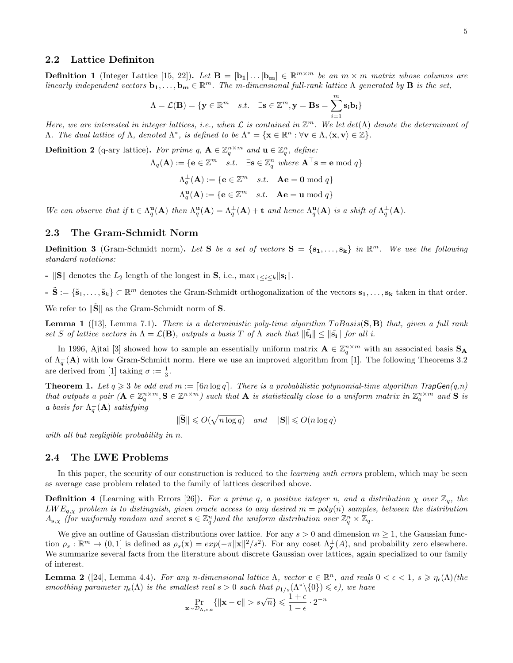**Definition 1** (Integer Lattice [15, 22]). Let  $\mathbf{B} = [\mathbf{b_1} | \dots | \mathbf{b_m}] \in \mathbb{R}^{m \times m}$  be an  $m \times m$  matrix whose columns are *linearly independent vectors*  $\mathbf{b}_1, \ldots, \mathbf{b}_m \in \mathbb{R}^m$ . The m-dimensional full-rank lattice  $\Lambda$  generated by  $\mathbf{B}$  is the set,

$$
\Lambda = \mathcal{L}(\mathbf{B}) = \{ \mathbf{y} \in \mathbb{R}^m \mid s.t. \quad \exists \mathbf{s} \in \mathbb{Z}^m, \mathbf{y} = \mathbf{B}\mathbf{s} = \sum_{i=1}^m \mathbf{s_i} \mathbf{b_i} \}
$$

*Here, we are interested in integer lattices, i.e., when L is contained in* Z *<sup>m</sup>. We let det*(Λ) *denote the determinant of*  $\Lambda$ . The dual lattice of  $\Lambda$ , denoted  $\Lambda^*$ , is defined to be  $\Lambda^* = {\mathbf{x} \in \mathbb{R}^n : \forall {\mathbf{v} \in \Lambda}, {\langle {\mathbf{x}, \mathbf{v}} \rangle \in \mathbb{Z}}}$ .

**Definition 2** (q-ary lattice). For prime q,  $A \in \mathbb{Z}_q^{n \times m}$  and  $\mathbf{u} \in \mathbb{Z}_q^n$ , define:

$$
\Lambda_q(\mathbf{A}) := \{ \mathbf{e} \in \mathbb{Z}^m \mid s.t. \quad \exists \mathbf{s} \in \mathbb{Z}_q^n \text{ where } \mathbf{A}^\top \mathbf{s} = \mathbf{e} \text{ mod } q \}
$$

$$
\Lambda_q^\perp(\mathbf{A}) := \{ \mathbf{e} \in \mathbb{Z}^m \mid s.t. \quad \mathbf{A} \mathbf{e} = \mathbf{0} \text{ mod } q \}
$$

$$
\Lambda_q^\mathbf{u}(\mathbf{A}) := \{ \mathbf{e} \in \mathbb{Z}^m \mid s.t. \quad \mathbf{A} \mathbf{e} = \mathbf{u} \text{ mod } q \}
$$

We can observe that if  $\mathbf{t} \in \Lambda_q^{\mathbf{u}}(A)$  then  $\Lambda_q^{\mathbf{u}}(A) = \Lambda_q^{\perp}(A) + \mathbf{t}$  and hence  $\Lambda_q^{\mathbf{u}}(A)$  is a shift of  $\Lambda_q^{\perp}(A)$ .

#### **2.3 The Gram-Schmidt Norm**

**Definition 3** (Gram-Schmidt norm). Let **S** be a set of vectors  $S = \{s_1, \ldots, s_k\}$  in  $\mathbb{R}^m$ . We use the following *standard notations:*

**-** *∥***S***∥* denotes the *L*<sup>2</sup> length of the longest in **S**, i.e., max <sup>1</sup>*≤i≤<sup>k</sup>∥***si***∥*.

**- S**˜ := *{*˜**s**1*, . . . ,* ˜**s***k} ⊂* R *<sup>m</sup>* denotes the Gram-Schmidt orthogonalization of the vectors **s1***, . . . ,* **s<sup>k</sup>** taken in that order.

We refer to *∥***S**˜*∥* as the Gram-Schmidt norm of **S**.

**Lemma 1** ([13], Lemma 7.1)**.** *There is a deterministic poly-time algorithm T oBasis*(**S***,* **B**) *that, given a full rank set S of lattice vectors in*  $\Lambda = \mathcal{L}(\mathbf{B})$ *, outputs a basis T of*  $\Lambda$  *such that*  $||\mathbf{t_i}|| \leq ||\mathbf{s_i}||$  *for all i.* 

In 1996, Ajtai [3] showed how to sample an essentially uniform matrix  $\mathbf{A} \in \mathbb{Z}_q^{n \times m}$  with an associated basis  $\mathbf{S}_{\mathbf{A}}$ of  $\Lambda_q^{\perp}(\mathbf{A})$  with low Gram-Schmidt norm. Here we use an improved algorithm from [1]. The following Theorems 3.2 are derived from [1] taking  $\sigma := \frac{1}{3}$ .

**Theorem 1.** Let  $q \geq 3$  be odd and  $m := \lceil 6n \log q \rceil$ . There is a probabilistic polynomial-time algorithm  $\text{TrapGen}(q,n)$ that outputs a pair  $(A \in \mathbb{Z}_q^{n \times m}, S \in \mathbb{Z}^{n \times m})$  such that A is statistically close to a uniform matrix in  $\mathbb{Z}_q^{n \times m}$  and S is *a basis for*  $\Lambda_q^{\perp}(\mathbf{A})$  *satisfying* 

$$
\|\widetilde{\mathbf{S}}\| \le O(\sqrt{n \log q}) \quad \text{and} \quad \|\mathbf{S}\| \le O(n \log q)
$$

*with all but negligible probability in n.*

#### **2.4 The LWE Problems**

In this paper, the security of our construction is reduced to the *learning with errors* problem, which may be seen as average case problem related to the family of lattices described above.

**Definition 4** (Learning with Errors [26]). For a prime q, a positive integer n, and a distribution  $\chi$  over  $\mathbb{Z}_q$ , the  $LWE_{q,\chi}$  *problem is to distinguish, given oracle access to any desired*  $m = poly(n)$  *samples, between the distribution*  $A_{s,x}$  *(for uniformly random and secret*  $s \in \mathbb{Z}_q^n$ *)and the uniform distribution over*  $\mathbb{Z}_q^n \times \mathbb{Z}_q$ *.* 

We give an outline of Gaussian distributions over lattice. For any  $s > 0$  and dimension  $m \geq 1$ , the Gaussian function  $\rho_s : \mathbb{R}^m \to (0,1]$  is defined as  $\rho_s(\mathbf{x}) = exp(-\pi ||\mathbf{x}||^2 / s^2)$ . For any coset  $\Lambda^{\perp}_{\mathbf{y}}(A)$ , and probability zero elsewhere. We summarize several facts from the literature about discrete Gaussian over lattices, again specialized to our family of interest.

**Lemma 2** ([24], Lemma 4.4). For any n-dimensional lattice  $\Lambda$ , vector  $\mathbf{c} \in \mathbb{R}^n$ , and reals  $0 < \epsilon < 1$ ,  $s \geq \eta_{\epsilon}(\Lambda)$  (the *smoothing parameter*  $\eta_{\epsilon}(\Lambda)$  *is the smallest real*  $s > 0$  *such that*  $\rho_{1/s}(\Lambda^* \setminus \{0\}) \leq \epsilon$ , we have

$$
\Pr_{\mathbf{x}\sim\mathcal{D}_{\Lambda,s,\mathbf{c}}} \{ \|\mathbf{x}-\mathbf{c}\| > s\sqrt{n} \} \leqslant \frac{1+\epsilon}{1-\epsilon} \cdot 2^{-n}
$$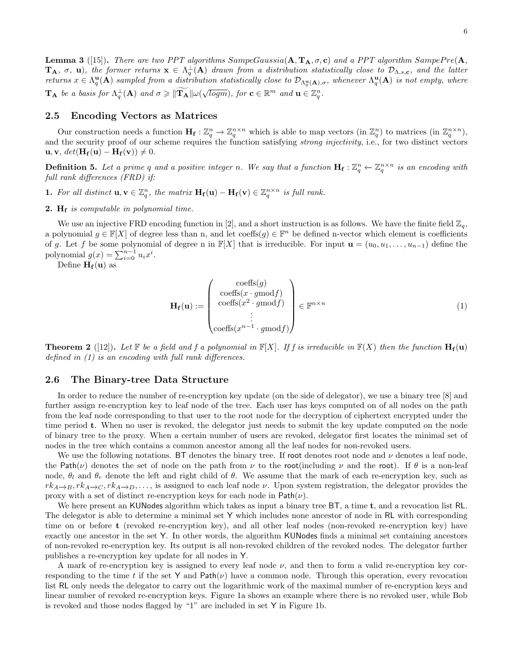**Lemma 3** ([15]). *There are two PPT algorithms*  $SampleGaussian(\mathbf{A}, \mathbf{T_A}, \sigma, \mathbf{c})$  *and a PPT algorithm*  $SamplePre(\mathbf{A}, \mathbf{A}, \mathbf{c})$  $\mathbf{T_A}$ ,  $\sigma$ ,  $\mathbf{u}$ ), the former returns  $\mathbf{x} \in \Lambda_q^{\perp}(\mathbf{A})$  drawn from a distribution statistically close to  $\mathcal{D}_{\Lambda,s,c}$ , and the latter returns  $x \in \Lambda_q^{\mathbf{u}}(A)$  sampled from a distribution statistically close to  $\mathcal{D}_{\Lambda_q^{\mathbf{u}}(A),\sigma}$ , whenever  $\Lambda_q^{\mathbf{u}}(A)$  is not empty, where  $\mathbf{T}_{\mathbf{A}}$  be a basis for  $\Lambda_q^{\perp}(\mathbf{A})$  and  $\sigma \geq \|\widetilde{\mathbf{T}_{\mathbf{A}}}\| \omega(\sqrt{logm})$ , for  $\mathbf{c} \in \mathbb{R}^m$  and  $\mathbf{u} \in \mathbb{Z}_q^n$ .

#### **2.5 Encoding Vectors as Matrices**

Our construction needs a function  $H_f: \mathbb{Z}_q^n \to \mathbb{Z}_q^{n \times n}$  which is able to map vectors (in  $\mathbb{Z}_q^n$ ) to matrices (in  $\mathbb{Z}_q^{n \times n}$ ), and the security proof of our scheme requires the function satisfying *strong injectivity*, i.e., for two distinct vectors  $\mathbf{u}, \mathbf{v}, \, \text{det}(\mathbf{H}_{\mathbf{f}}(\mathbf{u}) - \mathbf{H}_{\mathbf{f}}(\mathbf{v})) \neq 0.$ 

**Definition 5.** Let a prime q and a positive integer n. We say that a function  $H_f: \mathbb{Z}_q^n \leftarrow \mathbb{Z}_q^{n \times n}$  is an encoding with *full rank differences (FRD) if:*

**1.** For all distinct  $\mathbf{u}, \mathbf{v} \in \mathbb{Z}_q^n$ , the matrix  $\mathbf{H}_{\mathbf{f}}(\mathbf{u}) - \mathbf{H}_{\mathbf{f}}(\mathbf{v}) \in \mathbb{Z}_q^{n \times n}$  is full rank.

#### **2. H<sup>f</sup>** *is computable in polynomial time.*

We use an injective FRD encoding function in [2], and a short instruction is as follows. We have the finite field  $\mathbb{Z}_q$ , a polynomial  $g \in \mathbb{F}[X]$  of degree less than n, and let coeffs $(g) \in \mathbb{F}^n$  be defined n-vector which element is coefficients of *g*. Let *f* be some polynomial of degree n in  $\mathbb{F}[X]$  that is irreducible. For input  $\mathbf{u} = (u_0, u_1, \ldots, u_{n-1})$  define the polynomial  $g(x) = \sum_{i=0}^{n-1} u_i x^i$ .

Define  $H_f(u)$  as

$$
\mathbf{H}_{\mathbf{f}}(\mathbf{u}) := \begin{pmatrix} \text{coeffs}(g) \\ \text{coeffs}(x \cdot g \text{mod} f) \\ \text{coeffs}(x^2 \cdot g \text{mod} f) \\ \vdots \\ \text{coeffs}(x^{n-1} \cdot g \text{mod} f) \end{pmatrix} \in \mathbb{F}^{n \times n}
$$
(1)

**Theorem 2** ([12]). Let  $\mathbb{F}$  be a field and f a polynomial in  $\mathbb{F}[X]$ . If f is irreducible in  $\mathbb{F}(X)$  then the function  $\mathbf{H}_{\mathbf{f}}(\mathbf{u})$ *defined in (1) is an encoding with full rank differences.*

#### **2.6 The Binary-tree Data Structure**

In order to reduce the number of re-encryption key update (on the side of delegator), we use a binary tree [8] and further assign re-encryption key to leaf node of the tree. Each user has keys computed on of all nodes on the path from the leaf node corresponding to that user to the root node for the decryption of ciphertext encrypted under the time period **t**. When no user is revoked, the delegator just needs to submit the key update computed on the node of binary tree to the proxy. When a certain number of users are revoked, delegator first locates the minimal set of nodes in the tree which contains a common ancestor among all the leaf nodes for non-revoked users.

We use the following notations. BT denotes the binary tree. If root denotes root node and  $\nu$  denotes a leaf node, the Path(*v*) denotes the set of node on the path from *ν* to the root(including *ν* and the root). If  $\theta$  is a non-leaf node,  $\theta_l$  and  $\theta_r$  denote the left and right child of  $\theta$ . We assume that the mark of each re-encryption key, such as  $rk_A \rightarrow B, rk_A \rightarrow C, rk_A \rightarrow D, \ldots$ , is assigned to each leaf node *ν*. Upon system registration, the delegator provides the proxy with a set of distinct re-encryption keys for each node in  $Path(\nu)$ .

We here present an KUNodes algorithm which takes as input a binary tree BT, a time **t**, and a revocation list RL. The delegator is able to determine a minimal set Y which includes none ancestor of node in RL with corresponding time on or before **t** (revoked re-encryption key), and all other leaf nodes (non-revoked re-encryption key) have exactly one ancestor in the set Y. In other words, the algorithm KUNodes finds a minimal set containing ancestors of non-revoked re-encryption key. Its output is all non-revoked children of the revoked nodes. The delegator further publishes a re-encryption key update for all nodes in Y.

A mark of re-encryption key is assigned to every leaf node *ν*, and then to form a valid re-encryption key corresponding to the time *t* if the set Y and  $Path(\nu)$  have a common node. Through this operation, every revocation list RL only needs the delegator to carry out the logarithmic work of the maximal number of re-encryption keys and linear number of revoked re-encryption keys. Figure 1a shows an example where there is no revoked user, while Bob is revoked and those nodes flagged by "1" are included in set Y in Figure 1b.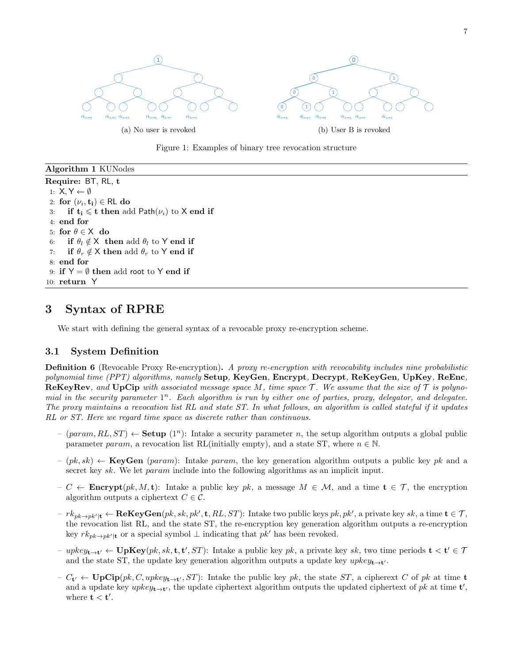

Figure 1: Examples of binary tree revocation structure

| <b>Algorithm 1 KUNodes</b>                                |
|-----------------------------------------------------------|
| Require: BT, RL, t                                        |
| 1: $X, Y \leftarrow \emptyset$                            |
| 2: for $(\nu_i, \mathbf{t_i}) \in \mathsf{RL}$ do         |
| 3: if $t_i \leq t$ then add Path $(\nu_i)$ to X end if    |
| $4:$ end for                                              |
| 5: for $\theta \in X$ do                                  |
| 6: if $\theta_l \notin X$ then add $\theta_l$ to Y end if |
| 7: if $\theta_r \notin X$ then add $\theta_r$ to Y end if |
| 8: end for                                                |
| 9: if $Y = \emptyset$ then add root to Y end if           |
| 10: $return Y$                                            |
|                                                           |

# **3 Syntax of RPRE**

We start with defining the general syntax of a revocable proxy re-encryption scheme.

### **3.1 System Definition**

**Definition 6** (Revocable Proxy Re-encryption)**.** *A proxy re-encryption with revocability includes nine probabilistic polynomial time (PPT) algorithms, namely* **Setup***,* **KeyGen***,* **Encrypt***,* **Decrypt***,* **ReKeyGen***,* **UpKey***,* **ReEnc***,* **ReKeyRev**, and UpCip with associated message space M, time space  $\mathcal{T}$ . We assume that the size of  $\mathcal{T}$  is polynomial in the security parameter  $1^n$ . Each algorithm is run by either one of parties, proxy, delegator, and delegatee. *The proxy maintains a revocation list RL and state ST. In what follows, an algorithm is called stateful if it updates RL or ST. Here we regard time space as discrete rather than continuous.*

- (*param, RL, ST*) *←* **Setup** (1*n*): Intake a security parameter *n*, the setup algorithm outputs a global public parameter *param*, a revocation list RL(initially empty), and a state ST, where  $n \in \mathbb{N}$ .
- (*pk, sk*) *←* **KeyGen** (*param*): Intake *param*, the key generation algorithm outputs a public key *pk* and a secret key *sk*. We let *param* include into the following algorithms as an implicit input.
- *C ←* **Encrypt**(*pk, M,* **t**): Intake a public key *pk*, a message *M ∈ M*, and a time **t** *∈ T* , the encryption algorithm outputs a ciphertext  $C \in \mathcal{C}$ .
- $r k_{pk \to pk' \mid t} \leftarrow \textbf{ReKeyGen}(pk, sk, pk', t, RL, ST)$ : Intake two public keys  $pk, pk',$  a private key  $sk$ , a time  $t \in \mathcal{T}$ , the revocation list RL, and the state ST, the re-encryption key generation algorithm outputs a re-encryption key  $rk_{pk\rightarrow pk'|\mathbf{t}}$  or a special symbol  $\perp$  indicating that  $pk'$  has been revoked.
- $-$  upkey<sub>t +t'</sub>  $\leftarrow$  UpKey(pk, sk, t, t', ST): Intake a public key pk, a private key sk, two time periods  $t < t' \in T$ and the state ST, the update key generation algorithm outputs a update key  $upkey_{\mathbf{t}\to\mathbf{t}}$ .
- $C_{\mathbf{t'}}$  ← **UpCip**( $pk, C, \text{upkey}_{\mathbf{t} \to \mathbf{t'}}$ , *ST*): Intake the public key *pk*, the state *ST*, a cipherext *C* of *pk* at time **t** and a update key  $upkey_{\mathbf{t}\to\mathbf{t}'}$ , the update ciphertext algorithm outputs the updated ciphertext of  $pk$  at time  $\mathbf{t}'$ , where  $t < t'$ .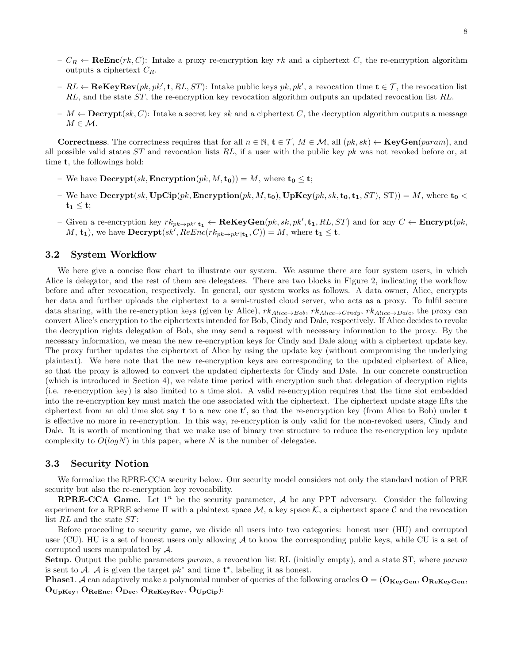- *C<sup>R</sup> ←* **ReEnc**(*rk, C*): Intake a proxy re-encryption key *rk* and a ciphertext *C*, the re-encryption algorithm outputs a ciphertext *CR*.
- $RL \leftarrow \textbf{ReKeyRev}(pk, pk', t, RL, ST)$ : Intake public keys  $pk, pk'$ , a revocation time  $t \in \mathcal{T}$ , the revocation list *RL*, and the state *ST*, the re-encryption key revocation algorithm outputs an updated revocation list *RL*.
- *M ←* **Decrypt**(*sk, C*): Intake a secret key *sk* and a ciphertext *C*, the decryption algorithm outputs a message  $M \in \mathcal{M}$ .

**Correctness**. The correctness requires that for all  $n \in \mathbb{N}$ ,  $\mathbf{t} \in \mathcal{T}$ ,  $M \in \mathcal{M}$ , all  $(pk, sk) \leftarrow \mathbf{KeyGen}(param)$ , and all possible valid states *ST* and revocation lists *RL*, if a user with the public key *pk* was not revoked before or, at time **t**, the followings hold:

- We have  $\textbf{Decrypt}(sk, \textbf{Encryption}(pk, M, \mathbf{t_0})) = M$ , where  $\mathbf{t_0} \leq \mathbf{t}$ ;
- We have  $\text{Decrypt}(sk, \text{UpCip}(pk, \text{Encryption}(pk, M, t_0), \text{UpKey}(pk, sk, t_0, t_1, ST), ST)) = M$ , where  $t_0$  <  $t_1 \leq t$ ;
- Given a re-encryption key  $rk_{pk\rightarrow pk'|t_1} \leftarrow \textbf{ReKeyGen}(pk, sk, pk', t_1, RL, ST)$  and for any  $C \leftarrow \textbf{Encrypt}(pk, sk, pk')$  $M$ , **t**<sub>1</sub>), we have  $\text{Decrypt}(sk', ReEnc(rk_{pk \to pk'|t_1}, C)) = M$ , where  $t_1 \leq t$ .

#### **3.2 System Workflow**

We here give a concise flow chart to illustrate our system. We assume there are four system users, in which Alice is delegator, and the rest of them are delegatees. There are two blocks in Figure 2, indicating the workflow before and after revocation, respectively. In general, our system works as follows. A data owner, Alice, encrypts her data and further uploads the ciphertext to a semi-trusted cloud server, who acts as a proxy. To fulfil secure data sharing, with the re-encryption keys (given by Alice), *rkAlice→Bob*, *rkAlice→Cindy*, *rkAlice→Dale*, the proxy can convert Alice's encryption to the ciphertexts intended for Bob, Cindy and Dale, respectively. If Alice decides to revoke the decryption rights delegation of Bob, she may send a request with necessary information to the proxy. By the necessary information, we mean the new re-encryption keys for Cindy and Dale along with a ciphertext update key. The proxy further updates the ciphertext of Alice by using the update key (without compromising the underlying plaintext). We here note that the new re-encryption keys are corresponding to the updated ciphertext of Alice, so that the proxy is allowed to convert the updated ciphertexts for Cindy and Dale. In our concrete construction (which is introduced in Section 4), we relate time period with encryption such that delegation of decryption rights (i.e. re-encryption key) is also limited to a time slot. A valid re-encryption requires that the time slot embedded into the re-encryption key must match the one associated with the ciphertext. The ciphertext update stage lifts the ciphertext from an old time slot say **t** to a new one **t** *′* , so that the re-encryption key (from Alice to Bob) under **t** is effective no more in re-encryption. In this way, re-encryption is only valid for the non-revoked users, Cindy and Dale. It is worth of mentioning that we make use of binary tree structure to reduce the re-encryption key update complexity to  $O(logN)$  in this paper, where N is the number of delegatee.

#### **3.3 Security Notion**

We formalize the RPRE-CCA security below. Our security model considers not only the standard notion of PRE security but also the re-encryption key revocability.

**RPRE-CCA Game.** Let  $1^n$  be the security parameter,  $A$  be any PPT adversary. Consider the following experiment for a RPRE scheme  $\Pi$  with a plaintext space  $M$ , a key space  $K$ , a ciphertext space  $C$  and the revocation list *RL* and the state *ST*:

Before proceeding to security game, we divide all users into two categories: honest user (HU) and corrupted user (CU). HU is a set of honest users only allowing *A* to know the corresponding public keys, while CU is a set of corrupted users manipulated by *A*.

**Setup***.* Output the public parameters *param*, a revocation list RL (initially empty), and a state ST, where *param* is sent to *A*. *A* is given the target  $pk^*$  and time  $t^*$ , labeling it as honest.

**Phase1**. *A* can adaptively make a polynomial number of queries of the following oracles  $O = (O_{KeyGen}, O_{RefKeyGen}, O_{RefKeyGen})$ **OUpKey**, **OReEnc**, **ODec**, **OReKeyRev**, **OUpCip**):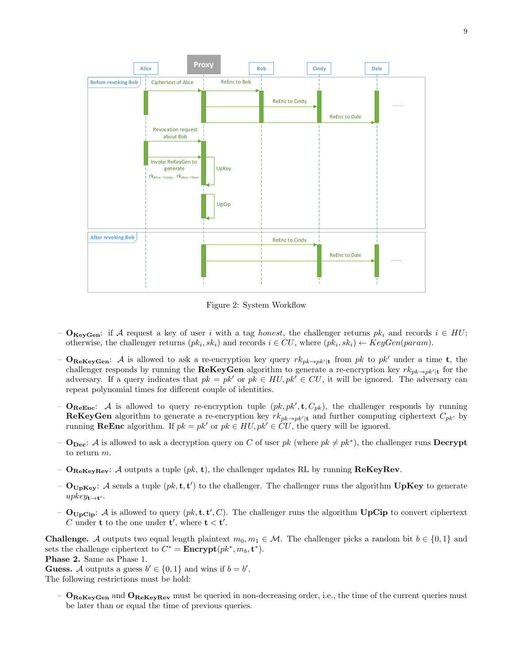

Figure 2: System Workflow

- **O**<sub>KeyGen</sub>: if *A* request a key of user *i* with a tag *honest*, the challenger returns  $pk_i$  and records  $i \in HU$ ; otherwise, the challenger returns  $(pk_i, sk_i)$  and records  $i \in CU$ , where  $(pk_i, sk_i) \leftarrow KeyGen(param)$ .
- **OReKeyGen**: *A* is allowed to ask a re-encryption key query *rkpk→pk′ |***t** from *pk* to *pk′* under a time **t**, the challenger responds by running the **ReKeyGen** algorithm to generate a re-encryption key  $rk_{pk\rightarrow pk'}$  for the adversary. If a query indicates that  $pk = pk'$  or  $pk \in HU, pk' \in CU$ , it will be ignored. The adversary can repeat polynomial times for different couple of identities.
- $-$  **OReEnc**: *A* is allowed to query re-encryption tuple  $(pk, pk', t, C_{pk})$ , the challenger responds by running **ReKeyGen** algorithm to generate a re-encryption key  $rk_{pk\rightarrow pk'}$  and further computing ciphertext  $C_{pk'}$  by running **ReEnc** algorithm. If  $pk = pk'$  or  $pk \in HU, pk' \in CU$ , the query will be ignored.
- $\sim$  **O**<sub>Dec</sub>: *A* is allowed to ask a decryption query on *C* of user *pk* (where *pk* ≠ *pk*<sup>\*</sup>), the challenger runs **Decrypt** to return *m*.
- **OReKeyRev**: *A* outputs a tuple (*pk*, **t**), the challenger updates RL by running **ReKeyRev**.
- $\mathbf{O}_{\mathbf{UpKey}}$ : *A* sends a tuple  $(pk, \mathbf{t}, \mathbf{t}')$  to the challenger. The challenger runs the algorithm  $\mathbf{UpKey}$  to generate  $upkey_{\mathbf{t}\to\mathbf{t}'}$ .
- $\sim$   $\mathbf{O}_{\mathbf{UpCip}}$ : *A* is allowed to query  $(pk, \mathbf{t}, \mathbf{t}', C)$ . The challenger runs the algorithm  $\mathbf{UpCip}$  to convert ciphertext *C* under **t** to the one under **t**', where **t**  $lt$  **t**'.

**Challenge.** *A* outputs two equal length plaintext  $m_0, m_1 \in M$ . The challenger picks a random bit  $b \in \{0, 1\}$  and sets the challenge ciphertext to  $C^* =$  **Encrypt** $(pk^*, m_b, t^*)$ . **Phase 2.** Same as Phase 1.

**Guess.** *A* outputs a guess  $b' \in \{0, 1\}$  and wins if  $b = b'$ . The following restrictions must be hold:

– **OReKeyGen** and **OReKeyRev** must be queried in non-decreasing order, i.e., the time of the current queries must be later than or equal the time of previous queries.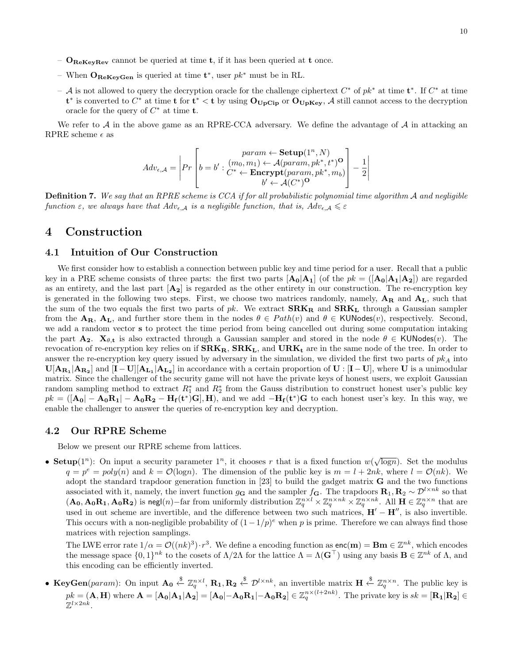- **OReKeyRev** cannot be queried at time **t**, if it has been queried at **t** once.
- When **OReKeyGen** is queried at time **t** *∗* , user *pk∗* must be in RL.
- *A* is not allowed to query the decryption oracle for the challenge ciphertext *C ∗* of *pk∗* at time **t** *∗* . If *C ∗* at time  $\mathbf{t}^*$  is converted to  $C^*$  at time  $\mathbf{t}$  for  $\mathbf{t}^* < \mathbf{t}$  by using  $\mathbf{O}_{\mathbf{UpCip}}$  or  $\mathbf{O}_{\mathbf{UpKey}}$ , *A* still cannot access to the decryption oracle for the query of *C ∗* at time **t**.

We refer to *A* in the above game as an RPRE-CCA adversary. We define the advantage of *A* in attacking an RPRE scheme  $\epsilon$  as

$$
Adv_{\epsilon,\mathcal{A}} = \left| Pr \left[ b = b' : \begin{array}{l} param \leftarrow \mathbf{Setup}(1^n, N) \\ \left[ m_0, m_1 \right) \leftarrow \mathcal{A}(param, pk^*, t^*)^{\mathbf{O}} \\ C^* \leftarrow \mathbf{Encrypt}(param, pk^*, m_b) \end{array} \right] - \frac{1}{2} \right|
$$

**Definition 7.** *We say that an RPRE scheme is CCA if for all probabilistic polynomial time algorithm A and negligible function*  $\varepsilon$ *,* we always have that  $Adv_{\epsilon,A}$  is a negligible function, that is,  $Adv_{\epsilon,A} \leq \varepsilon$ 

### **4 Construction**

#### **4.1 Intuition of Our Construction**

We first consider how to establish a connection between public key and time period for a user. Recall that a public key in a PRE scheme consists of three parts: the first two parts  $[\mathbf{A_0}|\mathbf{A_1}]$  (of the  $pk = ([\mathbf{A_0}|\mathbf{A_1}|\mathbf{A_2}])$  are regarded as an entirety, and the last part  $[A_2]$  is regarded as the other entirety in our construction. The re-encryption key is generated in the following two steps. First, we choose two matrices randomly, namely,  $\mathbf{A_R}$  and  $\mathbf{A_L}$ , such that the sum of the two equals the first two parts of  $pk$ . We extract  $\mathbf{SRK}_R$  and  $\mathbf{SRK}_L$  through a Gaussian sampler from the  $\mathbf{A_R}$ ,  $\mathbf{A_L}$ , and further store them in the nodes  $\theta \in Path(v)$  and  $\theta \in KUNodes(v)$ , respectively. Second, we add a random vector **s** to protect the time period from being cancelled out during some computation intaking the part  $\mathbf{A}_2$ .  $\mathbf{X}_{\theta,\mathbf{t}}$  is also extracted through a Gaussian sampler and stored in the node  $\theta \in \mathsf{KUNodes}(v)$ . The revocation of re-encryption key relies on if  $\mathbf{SRK}_R$ ,  $\mathbf{SRK}_L$ , and  $\mathbf{URK}_t$  are in the same node of the tree. In order to answer the re-encryption key query issued by adversary in the simulation, we divided the first two parts of *pk<sup>A</sup>* into  $U[A_{R_1}|A_{R_2}]$  and  $[I-U][A_{L_1}|A_{L_2}]$  in accordance with a certain proportion of  $U:[I-U]$ , where U is a unimodular matrix. Since the challenger of the security game will not have the private keys of honest users, we exploit Gaussian random sampling method to extract  $R_1^*$  and  $R_2^*$  from the Gauss distribution to construct honest user's public key  $pk = ([A_0 - A_0R_1 - A_0R_2 - H_f(t^*)G], H)$ , and we add  $-H_f(t^*)G$  to each honest user's key. In this way, we enable the challenger to answer the queries of re-encryption key and decryption.

#### **4.2 Our RPRE Scheme**

Below we present our RPRE scheme from lattices.

• **Setup**(1<sup>*n*</sup>): On input a security parameter 1<sup>*n*</sup>, it chooses *r* that is a fixed function  $w(\sqrt{\log n})$ . Set the modulus  $q = p^e = poly(n)$  and  $k = O(\log n)$ . The dimension of the public key is  $m = l + 2nk$ , where  $l = O(nk)$ . We adopt the standard trapdoor generation function in [23] to build the gadget matrix **G** and the two functions associated with it, namely, the invert function  $g_{\bf G}$  and the sampler  $f_{\bf G}$ . The trapdoors  ${\bf R}_1, {\bf R}_2 \sim \mathcal{D}^{l \times nk}$  so that  $(\mathbf{A_0}, \mathbf{A_0R_1}, \mathbf{A_0R_2})$  is negl(n)-far from uniformly distribution  $\mathbb{Z}_q^{n \times l} \times \mathbb{Z}_q^{n \times nk} \times \mathbb{Z}_q^{n \times nk}$ . All  $\mathbf{H} \in \mathbb{Z}_q^{n \times n}$  that are used in out scheme are invertible, and the difference between two such matrices,  $H' - H''$ , is also invertible. This occurs with a non-negligible probability of  $(1 - 1/p)^e$  when *p* is prime. Therefore we can always find those matrices with rejection samplings.

The LWE error rate  $1/\alpha = \mathcal{O}((nk)^3) \cdot r^3$ . We define a encoding function as  $\mathbf{enc}(\mathbf{m}) = \mathbf{Bm} \in \mathbb{Z}^{nk}$ , which encodes the message space  $\{0,1\}^{nk}$  to the cosets of  $\Lambda/2\Lambda$  for the lattice  $\Lambda = \Lambda(\mathbf{G}^{\top})$  using any basis  $\mathbf{B} \in \mathbb{Z}^{nk}$  of  $\Lambda$ , and this encoding can be efficiently inverted.

• KeyGen(param): On input  $\mathbf{A_0} \stackrel{\$}{\leftarrow} \mathbb{Z}_q^{n \times l}$ ,  $\mathbf{R_1}, \mathbf{R_2} \stackrel{\$}{\leftarrow} \mathcal{D}^{l \times nk}$ , an invertible matrix  $\mathbf{H} \stackrel{\$}{\leftarrow} \mathbb{Z}_q^{n \times n}$ . The public key is  $pk = (\mathbf{A}, \mathbf{H})$  where  $\mathbf{A} = [\mathbf{A_0}|\mathbf{A_1}|\mathbf{A_2}] = [\mathbf{A_0}|\mathbf{-A_0}\mathbf{R_1}|\mathbf{-A_0}\mathbf{R_2}] \in \mathbb{Z}_q^{n \times (l+2nk)}$ . The private key is  $sk = [\mathbf{R_1}|\mathbf{R_2}] \in \mathbb{Z}_q^{n \times (l+2nk)}$  $\mathbb{Z}^{l \times 2nk}$ .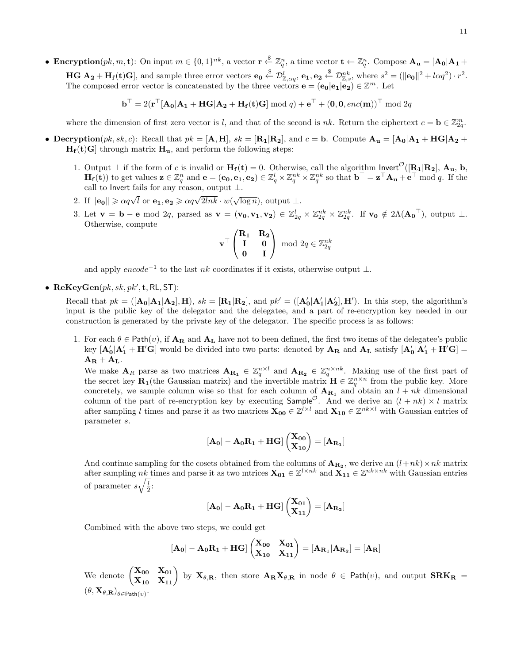• Encryption $(pk, m, t)$ : On input  $m \in \{0, 1\}^{nk}$ , a vector  $\mathbf{r} \stackrel{\$}{\leftarrow} \mathbb{Z}_q^n$ , a time vector  $\mathbf{t} \leftarrow \mathbb{Z}_q^n$ . Compose  $\mathbf{A}_{\mathbf{u}} = [\mathbf{A}_{\mathbf{0}} | \mathbf{A}_{\mathbf{1}} +$  $\mathbf{HG}[\mathbf{A_2} + \mathbf{H_f(t)G}]$ , and sample three error vectors  $\mathbf{e_0} \stackrel{\$}{\leftarrow} \mathcal{D}_{\mathbb{Z},\alpha q}^l$ ,  $\mathbf{e_1}, \mathbf{e_2} \stackrel{\$}{\leftarrow} \mathcal{D}_{\mathbb{Z},s}^{nk}$ , where  $s^2 = (\|\mathbf{e_0}\|^2 + l\alpha q^2) \cdot r^2$ . The composed error vector is concatenated by the three vectors  $\mathbf{e} = (\mathbf{e_0}|\mathbf{e_1}|\mathbf{e_2}) \in \mathbb{Z}^m$ . Let

 $\mathbf{b}^+=2(\mathbf{r}^+[\mathbf{A_0}|\mathbf{A_1}+\mathbf{H}\mathbf{G}|\mathbf{A_2}+\mathbf{H_f}(\mathbf{t})\mathbf{G}]\bmod q)+\mathbf{e}^++(\mathbf{0},\mathbf{0},enc(\mathbf{m}))^+\bmod 2q$ 

where the dimension of first zero vector is *l*, and that of the second is *nk*. Return the ciphertext  $c = \mathbf{b} \in \mathbb{Z}_{2q}^m$ .

- Decryption(pk, sk, c): Recall that  $pk = [\mathbf{A}, \mathbf{H}], sk = [\mathbf{R_1}|\mathbf{R_2}],$  and  $c = \mathbf{b}$ . Compute  $\mathbf{A_u} = [\mathbf{A_0}|\mathbf{A_1} + \mathbf{HG}|\mathbf{A_2} + \mathbf{d}]\mathbf{A_3}$  $H_f(t)$ **G** through matrix  $H_u$ , and perform the following steps:
	- 1. Output  $\perp$  if the form of *c* is invalid or  $\mathbf{H}_{\mathbf{f}}(\mathbf{t}) = 0$ . Otherwise, call the algorithm Invert<sup>*O*</sup>([**R**<sub>1</sub>|**R**<sub>2</sub>], **A**<sub>**u**</sub>, **b**,  $\mathbf{H}_{\mathbf{f}}(\mathbf{t}))$  to get values  $\mathbf{z} \in \mathbb{Z}_q^n$  and  $\mathbf{e} = (\mathbf{e_0}, \mathbf{e_1}, \mathbf{e_2}) \in \mathbb{Z}_q^l \times \mathbb{Z}_q^{nk} \times \mathbb{Z}_q^{nk}$  so that  $\mathbf{b}^\top = \mathbf{z}^\top \mathbf{A_u} + \mathbf{e}^\top \bmod q$ . If the call to Invert fails for any reason, output *⊥*.
	- 2. If  $||e_0|| \ge \alpha q \sqrt{l}$  or  $e_1, e_2 \ge \alpha q \sqrt{2lnk} \cdot w(\sqrt{\log n})$ , output ⊥.
	- 3. Let  $\mathbf{v} = \mathbf{b} \mathbf{e} \mod 2q$ , parsed as  $\mathbf{v} = (\mathbf{v_0}, \mathbf{v_1}, \mathbf{v_2}) \in \mathbb{Z}_{2q}^l \times \mathbb{Z}_{2q}^{nk} \times \mathbb{Z}_{2q}^{nk}$ . If  $\mathbf{v_0} \notin 2\Lambda(\mathbf{A_0}^\top)$ , output  $\bot$ . Otherwise, compute

$$
\mathbf{v}^{\top} \begin{pmatrix} \mathbf{R_1} & \mathbf{R_2} \\ \mathbf{I} & \mathbf{0} \\ \mathbf{0} & \mathbf{I} \end{pmatrix} \bmod 2q \in \mathbb{Z}_{2q}^{nk}
$$

and apply *encode−*<sup>1</sup> to the last *nk* coordinates if it exists, otherwise output *⊥*.

•  $\mathbf{ReKeyGen}(pk, sk, pk', t, RL, ST)$ :

Recall that  $pk = (\mathbf{A_0}|\mathbf{A_1}|\mathbf{A_2}], \mathbf{H})$ ,  $sk = [\mathbf{R_1}|\mathbf{R_2}]$ , and  $pk' = (\mathbf{A_0}|\mathbf{A_1}|\mathbf{A_2}], \mathbf{H}')$ . In this step, the algorithm's input is the public key of the delegator and the delegatee, and a part of re-encryption key needed in our construction is generated by the private key of the delegator. The specific process is as follows:

1. For each  $\theta \in \text{Path}(v)$ , if  $\mathbf{A_R}$  and  $\mathbf{A_L}$  have not to been defined, the first two items of the delegatee's public key  $[\mathbf{A'_0}|\mathbf{A'_1} + \mathbf{H'G}]$  would be divided into two parts: denoted by  $\mathbf{A_R}$  and  $\mathbf{A_L}$  satisfy  $[\mathbf{A'_0}|\mathbf{A'_1} + \mathbf{H'G}] =$  $A_R + A_L$ .

We make  $A_R$  parse as two matrices  $A_{R_1} \in \mathbb{Z}_q^{n \times l}$  and  $A_{R_2} \in \mathbb{Z}_q^{n \times nk}$ . Making use of the first part of the secret key  $\mathbf{R}_1$ (the Gaussian matrix) and the invertible matrix  $\mathbf{H} \in \mathbb{Z}_q^{n \times n}$  from the public key. More concretely, we sample column wise so that for each column of  $\mathbf{A}_{\mathbf{R}_1}$  and obtain an  $l + nk$  dimensional column of the part of re-encryption key by executing  $\textsf{Sample}^{\mathcal{O}}$ . And we derive an  $(l + nk) \times l$  matrix after sampling *l* times and parse it as two matrices  $\mathbf{X_{00}} \in \mathbb{Z}^{l \times l}$  and  $\mathbf{X_{10}} \in \mathbb{Z}^{nk \times l}$  with Gaussian entries of parameter *s*.

$$
\left[A_0|-A_0R_1+HG\right]\binom{X_{00}}{X_{10}}=\left[A_{R_1}\right]
$$

And continue sampling for the cosets obtained from the columns of  $A_{R_2}$ , we derive an  $(l+nk) \times nk$  matrix after sampling *nk* times and parse it as two mtrices  $X_{01} \in \mathbb{Z}^{l \times nk}$  and  $X_{11} \in \mathbb{Z}^{nk \times nk}$  with Gaussian entries of parameter  $s\sqrt{\frac{l}{2}}$ :

$$
[A_0] - A_0 R_1 + HG \begin{pmatrix} X_{01} \\ X_{11} \end{pmatrix} = [A_{R_2}]
$$

Combined with the above two steps, we could get

$$
[\mathbf{A_0} - \mathbf{A_0} \mathbf{R_1} + \mathbf{H} \mathbf{G}] \begin{pmatrix} \mathbf{X_{00}} & \mathbf{X_{01}} \\ \mathbf{X_{10}} & \mathbf{X_{11}} \end{pmatrix} = [\mathbf{A_{R_1}} | \mathbf{A_{R_2}}] = [\mathbf{A_R}]
$$

We denote  $\begin{pmatrix} X_{00} & X_{01} \ X_{10} & X_{11} \end{pmatrix}$  by  $X_{\theta,\mathbf{R}}$ , then store  $\mathbf{A}_{\mathbf{R}}X_{\theta,\mathbf{R}}$  in node  $\theta \in \mathsf{Path}(v)$ , and output  $\mathbf{S}\mathbf{R}\mathbf{K}_{\mathbf{R}} =$  $(\theta, \mathbf{X}_{\theta, \mathbf{R}})_{\theta \in \mathsf{Path}(v)}$ .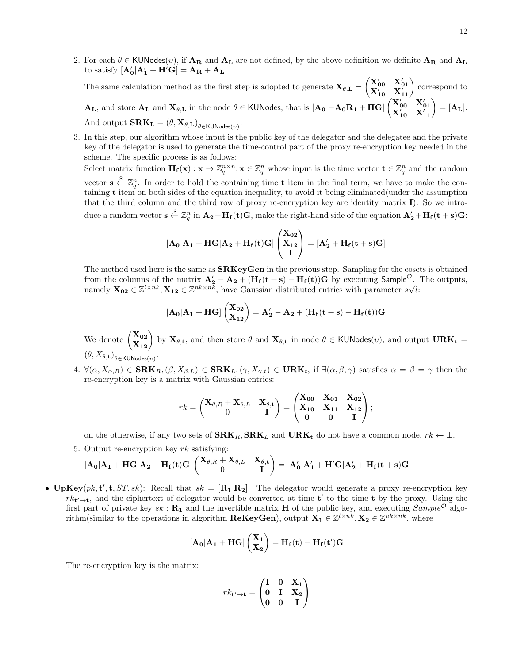2. For each  $\theta \in \text{KUNodes}(v)$ , if  $\mathbf{A_R}$  and  $\mathbf{A_L}$  are not defined, by the above definition we definite  $\mathbf{A_R}$  and  $\mathbf{A_L}$ to satisfy  $[\mathbf{A}'_0 | \mathbf{A}'_1 + \mathbf{H}'\mathbf{G}] = \mathbf{A}_{\mathbf{R}} + \mathbf{A}_{\mathbf{L}}.$ 

The same calculation method as the first step is adopted to generate  $\mathbf{X}_{\theta,\mathbf{L}} = \begin{pmatrix} \mathbf{X}_{00}^{\prime} & \mathbf{X}_{01}^{\prime} \\ \mathbf{X}_{10}^{\prime} & \mathbf{X}_{11}^{\prime} \end{pmatrix}$  correspond to  $\mathbf{A}_{\mathbf{L}}$ , and store  $\mathbf{A}_{\mathbf{L}}$  and  $\mathbf{X}_{\theta,\mathbf{L}}$  in the node  $\theta \in \mathsf{KUNodes}$ , that is  $[\mathbf{A_0}]-\mathbf{A_0}\mathbf{R_1}+\mathbf{H}\mathbf{G}]\begin{pmatrix} \mathbf{X}_{00}' & \mathbf{X}_{01}' \\ \mathbf{X}_{10}' & \mathbf{X}_{11}' \end{pmatrix} = [\mathbf{A_L}].$  $\textbf{And output} \ \textbf{SRK}_\textbf{L} = (\theta, \textbf{X}_{\theta, \textbf{L}})_{\theta \in \textsf{KUNodes}(v)}.$ 

3. In this step, our algorithm whose input is the public key of the delegator and the delegatee and the private key of the delegator is used to generate the time-control part of the proxy re-encryption key needed in the scheme. The specific process is as follows:

Select matrix function  $\mathbf{H}_{\mathbf{f}}(\mathbf{x}): \mathbf{x} \to \mathbb{Z}_q^{n \times n}, \mathbf{x} \in \mathbb{Z}_q^n$  whose input is the time vector  $\mathbf{t} \in \mathbb{Z}_q^n$  and the random vector  $\mathbf{s} \leftarrow \mathbb{Z}_q^n$ . In order to hold the containing time **t** item in the final term, we have to make the containing **t** item on both sides of the equation inequality, to avoid it being eliminated(under the assumption that the third column and the third row of proxy re-encryption key are identity matrix **I**). So we introduce a random vector  $\mathbf{s} \stackrel{\$}{\leftarrow} \mathbb{Z}_q^n$  in  $\mathbf{A_2} + \mathbf{H_f}(\mathbf{t})\mathbf{G}$ , make the right-hand side of the equation  $\mathbf{A'_2} + \mathbf{H_f}(\mathbf{t} + \mathbf{s})\mathbf{G}$ :

$$
[A_0|A_1 + HG|A_2 + H_f(t)G] \begin{pmatrix} X_{02} \\ X_{12} \\ I \end{pmatrix} = [A'_2 + H_f(t+s)G]
$$

The method used here is the same as **SRKeyGen** in the previous step. Sampling for the cosets is obtained from the columns of the matrix  $A'_2 - A_2 + (H_f(t+s) - H_f(t))G$  by executing Sample<sup>*O*</sup>. The outputs, from the columns of the matrix  $\mathbf{A_2} - \mathbf{A_2} + (\mathbf{H_f}(\mathbf{t} + \mathbf{s}) - \mathbf{H_f}(\mathbf{t}))\mathbf{G}$  by executing sample.<br>namely  $\mathbf{X_{02}} \in \mathbb{Z}^{l \times nk}$ ,  $\mathbf{X_{12}} \in \mathbb{Z}^{nk \times nk}$ , have Gaussian distributed entries with parameter *l*:

$$
[A_0|A_1+HG]\left(\begin{matrix}X_{02}\\X_{12}\end{matrix}\right)=A_2'-A_2+(H_f(t+s)-H_f(t))G
$$

We denote  $\begin{pmatrix} \mathbf{X_{02}} \\ \mathbf{X_{12}} \end{pmatrix}$  by  $\mathbf{X}_{\theta,t}$ , and then store  $\theta$  and  $\mathbf{X}_{\theta,t}$  in node  $\theta \in \mathsf{KUNodes}(v)$ , and output  $\mathbf{URK_t} =$  $(\theta, X_{\theta, \mathbf{t}})_{\theta \in \mathsf{KUNodes}(v)}$ .

4.  $\forall (\alpha, X_{\alpha,R}) \in \mathbf{SRK}_R, (\beta, X_{\beta,L}) \in \mathbf{SRK}_L, (\gamma, X_{\gamma,t}) \in \mathbf{URK}_t$ , if  $\exists (\alpha, \beta, \gamma)$  satisfies  $\alpha = \beta = \gamma$  then the re-encryption key is a matrix with Gaussian entries:

$$
rk = \begin{pmatrix} \mathbf{X}_{\theta,R} + \mathbf{X}_{\theta,L} & \mathbf{X}_{\theta,t} \\ 0 & \mathbf{I} \end{pmatrix} = \begin{pmatrix} \mathbf{X}_{00} & \mathbf{X}_{01} & \mathbf{X}_{02} \\ \mathbf{X}_{10} & \mathbf{X}_{11} & \mathbf{X}_{12} \\ 0 & 0 & \mathbf{I} \end{pmatrix};
$$

on the otherwise, if any two sets of  $\mathbf{SRK}_R$ ,  $\mathbf{SRK}_L$  and  $\mathbf{URK}_\mathbf{t}$  do not have a common node,  $rk \leftarrow \perp$ .

5. Output re-encryption key *rk* satisfying:

$$
[\mathbf{A}_0|\mathbf{A}_1+\mathbf{H}\mathbf{G}|\mathbf{A}_2+\mathbf{H}_f(t)\mathbf{G}]\begin{pmatrix}\mathbf{X}_{\theta,R}+\mathbf{X}_{\theta,L}&\mathbf{X}_{\theta,t}\\0&I\end{pmatrix}=[\mathbf{A}_0^\prime|\mathbf{A}_1^\prime+\mathbf{H}^\prime\mathbf{G}|\mathbf{A}_2^\prime+\mathbf{H}_f(t+s)\mathbf{G}]
$$

• **UpKey**( $pk$ ,  $\mathbf{t}'$ ,  $\mathbf{t}$ ,  $ST$ ,  $sk$ ): Recall that  $sk = [\mathbf{R_1}|\mathbf{R_2}]$ . The delegator would generate a proxy re-encryption key  $rk$ **t**<sub>*′*</sub> +  $\star$  and the ciphertext of delegator would be converted at time **t**<sup>*'*</sup> to the time **t** by the proxy. Using the first part of private key  $sk : \mathbf{R}_1$  and the invertible matrix **H** of the public key, and executing  $Sample^{\mathcal{O}}$  algorithm(similar to the operations in algorithm  $\textbf{ReKeyGen}$ ), output  $X_1 \in \mathbb{Z}^{l \times nk}$ ,  $X_2 \in \mathbb{Z}^{nk \times nk}$ , where

$$
[\mathbf{A}_0|\mathbf{A}_1+\mathbf{H}\mathbf{G}]\begin{pmatrix}\mathbf{X}_1\\\mathbf{X}_2\end{pmatrix}=\mathbf{H}_f(\mathbf{t})-\mathbf{H}_f(\mathbf{t}')\mathbf{G}
$$

The re-encryption key is the matrix:

$$
rk_{\mathbf{t'}\to\mathbf{t}} = \begin{pmatrix} \mathbf{I} & \mathbf{0} & \mathbf{X}_1 \\ \mathbf{0} & \mathbf{I} & \mathbf{X}_2 \\ \mathbf{0} & \mathbf{0} & \mathbf{I} \end{pmatrix}
$$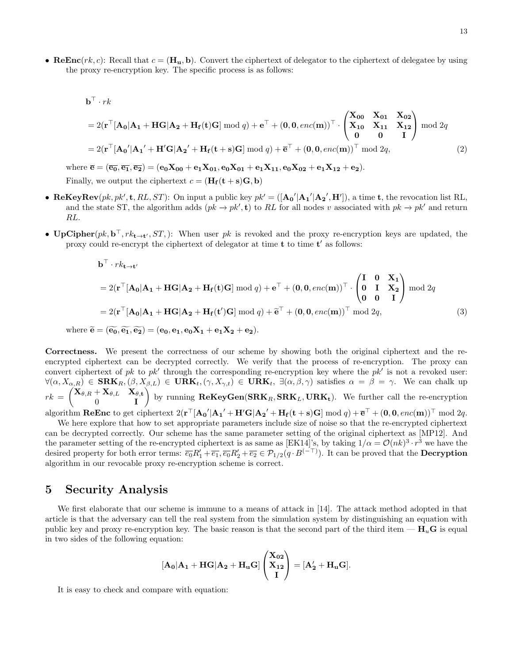• **ReEnc**( $rk$ ,  $c$ ): Recall that  $c = (\mathbf{H}_{\mathbf{u}}, \mathbf{b})$ . Convert the ciphertext of delegator to the ciphertext of delegatee by using the proxy re-encryption key. The specific process is as follows:

$$
\mathbf{b}^{\top} \cdot rk
$$

$$
=2(\mathbf{r}^{\top}[\mathbf{A}_{0}|\mathbf{A}_{1}+\mathbf{H}\mathbf{G}|\mathbf{A}_{2}+\mathbf{H}_{\mathbf{f}}(\mathbf{t})\mathbf{G}] \bmod q)+\mathbf{e}^{\top}+(0,0,enc(\mathbf{m}))^{\top}\cdot \begin{pmatrix} \mathbf{X}_{00} & \mathbf{X}_{01} & \mathbf{X}_{02} \\ \mathbf{X}_{10} & \mathbf{X}_{11} & \mathbf{X}_{12} \\ \mathbf{0} & \mathbf{0} & \mathbf{I} \end{pmatrix} \bmod 2q
$$

$$
=2(\mathbf{r}^{\top}[\mathbf{A}_{0}'|\mathbf{A}_{1}' + \mathbf{H}'\mathbf{G}|\mathbf{A}_{2}' + \mathbf{H}_{\mathbf{f}}(\mathbf{t}+\mathbf{s})\mathbf{G}] \bmod q)+\mathbf{e}^{\top}+(0,0,enc(\mathbf{m}))^{\top} \bmod 2q,
$$
(2)

where  $\bar{e} = (\bar{e}_0, \bar{e}_1, \bar{e}_2) = (e_0 X_{00} + e_1 X_{01}, e_0 X_{01} + e_1 X_{11}, e_0 X_{02} + e_1 X_{12} + e_2).$ Finally, we output the ciphertext  $c = (\mathbf{H_f}(\mathbf{t} + \mathbf{s})\mathbf{G}, \mathbf{b})$ 

- ReKeyRev $(pk, pk', t, RL, ST)$ : On input a public key  $pk' = (\mathbf{A_0}^\prime \mathbf{A_1}^\prime \mathbf{A_2}', \mathbf{H}^\prime)$ , a time t, the revocation list RL, and the state ST, the algorithm adds  $(pk \to pk', \mathbf{t})$  to RL for all nodes v associated with  $pk \to pk'$  and return *RL*.
- *•* **UpCipher**(*pk,* **b** *<sup>⊤</sup>, rk***t***→***<sup>t</sup>** *′ , ST,*): When user *pk* is revoked and the proxy re-encryption keys are updated, the proxy could re-encrypt the ciphertext of delegator at time **t** to time **t** *′* as follows:

$$
\mathbf{b}^{\top} \cdot rk_{\mathbf{t}\to\mathbf{t}'}
$$
\n
$$
= 2(\mathbf{r}^{\top}[\mathbf{A}_{0}|\mathbf{A}_{1} + \mathbf{H}\mathbf{G}|\mathbf{A}_{2} + \mathbf{H}_{\mathbf{f}}(\mathbf{t})\mathbf{G}] \bmod q) + \mathbf{e}^{\top} + (\mathbf{0}, \mathbf{0}, enc(\mathbf{m}))^{\top} \cdot \begin{pmatrix} \mathbf{I} & \mathbf{0} & \mathbf{X}_{1} \\ \mathbf{0} & \mathbf{I} & \mathbf{X}_{2} \\ \mathbf{0} & \mathbf{0} & \mathbf{I} \end{pmatrix} \bmod 2q
$$
\n
$$
= 2(\mathbf{r}^{\top}[\mathbf{A}_{0}|\mathbf{A}_{1} + \mathbf{H}\mathbf{G}|\mathbf{A}_{2} + \mathbf{H}_{\mathbf{f}}(\mathbf{t}')\mathbf{G}] \bmod q) + \widetilde{\mathbf{e}}^{\top} + (\mathbf{0}, \mathbf{0}, enc(\mathbf{m}))^{\top} \bmod 2q,
$$
\nwhere  $\widetilde{\mathbf{e}} = (\widetilde{\mathbf{e}_{0}}, \widetilde{\mathbf{e}_{1}}, \widetilde{\mathbf{e}_{2}}) = (\mathbf{e}_{0}, \mathbf{e}_{1}, \mathbf{e}_{0}\mathbf{X}_{1} + \mathbf{e}_{1}\mathbf{X}_{2} + \mathbf{e}_{2}).$ \n(3)

**Correctness.** We present the correctness of our scheme by showing both the original ciphertext and the reencrypted ciphertext can be decrypted correctly. We verify that the process of re-encryption. The proxy can convert ciphertext of  $pk$  to  $pk'$  through the corresponding re-encryption key where the  $pk'$  is not a revoked user:  $\forall (\alpha, X_{\alpha,R}) \in \mathbf{SRK}_R, (\beta, X_{\beta,L}) \in \mathbf{URK}_t, (\gamma, X_{\gamma,t}) \in \mathbf{URK}_t, \ \exists (\alpha, \beta, \gamma) \text{ satisfies } \alpha = \beta = \gamma.$  We can chalk up  $rk = \begin{pmatrix} \mathbf{X}_{\theta,R} + \mathbf{X}_{\theta,L} & \mathbf{X}_{\theta,t} \end{pmatrix}$ 0 **I** ) by running **ReKeyGen**(**SRK***R,* **SRK***L,* **URKt**). We further call the re-encryption

 $\text{algorithm} \ \textbf{ReEnc} \ \text{to get ciphertext} \ 2(\mathbf{r}^\top [\mathbf{A_0}'|\mathbf{A_1}' + \mathbf{H}'\mathbf{G}|\mathbf{A_2}' + \mathbf{H}_\mathbf{f}(\mathbf{t} + \mathbf{s})\mathbf{G}] \bmod q) + \mathbf{\overline{e}}^\top + (\mathbf{0}, \mathbf{0}, enc(\mathbf{m}))^\top \bmod 2q.$ We here explore that how to set appropriate parameters include size of noise so that the re-encrypted ciphertext

can be decrypted correctly. Our scheme has the same parameter setting of the original ciphertext as [MP12]. And the parameter setting of the re-encrypted ciphertext is as same as [EK14]'s, by taking  $1/\alpha = \mathcal{O}(nk)^3 \cdot r^3$  we have the desired property for both error terms:  $\overline{e_0}R'_1+\overline{e_1}, \overline{e_0}R'_2+\overline{e_2} \in \mathcal{P}_{1/2}(q \cdot B^{(-\top)})$ . It can be proved that the **Decryption** algorithm in our revocable proxy re-encryption scheme is correct.

### **5 Security Analysis**

We first elaborate that our scheme is immune to a means of attack in [14]. The attack method adopted in that article is that the adversary can tell the real system from the simulation system by distinguishing an equation with public key and proxy re-encryption key. The basic reason is that the second part of the third item  $-\mathbf{H}_u\mathbf{G}$  is equal in two sides of the following equation:

$$
[A_0|A_1+HG|A_2+H_uG]\begin{pmatrix} X_{02}\\ X_{12}\\ I\end{pmatrix}=[A_2'+H_uG].
$$

It is easy to check and compare with equation: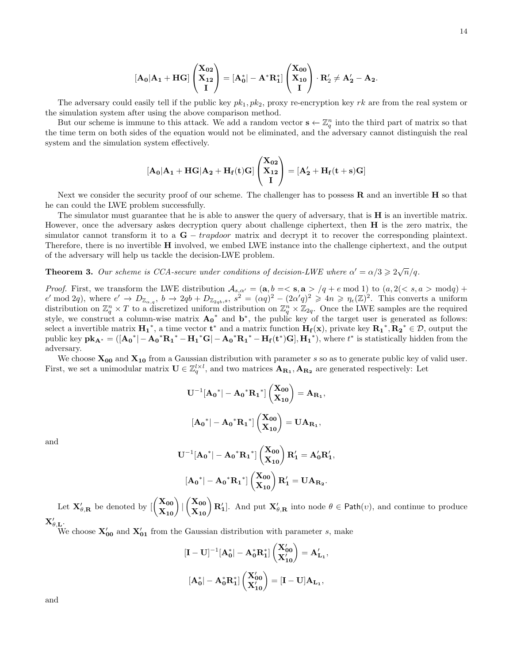$$
[\mathbf{A}_0|\mathbf{A}_1+\mathbf{H}\mathbf{G}]\begin{pmatrix}\mathbf{X}_{02}\\ \mathbf{X}_{12}\\ \mathbf{I}\end{pmatrix}=[\mathbf{A}_0^*]-\mathbf{A}^*\mathbf{R}_1^*]\begin{pmatrix}\mathbf{X}_{00}\\ \mathbf{X}_{10}\\ \mathbf{I}\end{pmatrix}\cdot\mathbf{R}_2'\neq\mathbf{A}_2'-\mathbf{A}_2.
$$

The adversary could easily tell if the public key *pk*1*, pk*2, proxy re-encryption key *rk* are from the real system or the simulation system after using the above comparison method.

But our scheme is immune to this attack. We add a random vector  $\mathbf{s} \leftarrow \mathbb{Z}_q^n$  into the third part of matrix so that the time term on both sides of the equation would not be eliminated, and the adversary cannot distinguish the real system and the simulation system effectively.

$$
[A_0|A_1 + HG|A_2 + H_f(t)G] \begin{pmatrix} X_{02} \\ X_{12} \\ I \end{pmatrix} = [A'_2 + H_f(t+s)G]
$$

Next we consider the security proof of our scheme. The challenger has to possess **R** and an invertible **H** so that he can could the LWE problem successfully.

The simulator must guarantee that he is able to answer the query of adversary, that is **H** is an invertible matrix. However, once the adversary askes decryption query about challenge ciphertext, then **H** is the zero matrix, the simulator cannot transform it to a **G** *− trapdoor* matrix and decrypt it to recover the corresponding plaintext. Therefore, there is no invertible **H** involved, we embed LWE instance into the challenge ciphertext, and the output of the adversary will help us tackle the decision-LWE problem.

**Theorem 3.** *Our scheme is CCA-secure under conditions of decision-LWE where*  $\alpha' = \alpha/3 \geqslant 2\sqrt{n}/q$ *.* 

*Proof.* First, we transform the LWE distribution  $A_{s,a'} = (\mathbf{a}, b = <\mathbf{s}, \mathbf{a} > /q + e \mod 1)$  to  $(a, 2(< s, a > \mod q) +$  $e' \mod 2q$ , where  $e' \rightarrow D_{\mathbb{Z}_{\alpha,q}}$ ,  $b \rightarrow 2qb + D_{\mathbb{Z}_{2qb},s}$ ,  $s^2 = (\alpha q)^2 - (2\alpha'q)^2 \geq 4n \geq \eta_{\epsilon}(\mathbb{Z})^2$ . This converts a uniform distribution on  $\mathbb{Z}_q^n \times T$  to a discretized uniform distribution on  $\mathbb{Z}_q^n \times \mathbb{Z}_{2q}$ . Once the LWE samples are the required style, we construct a column-wise matrix  $A_0^*$  and  $b^*$ , the public key of the target user is generated as follows: select a invertible matrix  $H_1^*$ , a time vector  $t^*$  and a matrix function  $H_f(x)$ , private key  $R_1^*, R_2^* \in \mathcal{D}$ , output the public key  $\mathbf{pk_{A*}} = ([A_0^*] - A_0^*R_1^* - H_1^*G] - A_0^*R_1^* - H_f(t^*)G], H_1^*),$  where  $t^*$  is statistically hidden from the adversary.

We choose  $X_{00}$  and  $X_{10}$  from a Gaussian distribution with parameter *s* so as to generate public key of valid user. First, we set a unimodular matrix  $\mathbf{U} \in \mathbb{Z}_q^{l \times l}$ , and two matrices  $\mathbf{A}_{\mathbf{R}_1}, \mathbf{A}_{\mathbf{R}_2}$  are generated respectively: Let

$$
U^{-1}[{A_0}^*]-{A_0}^*{R_1}^*]\begin{pmatrix}X_{00}\\X_{10}\end{pmatrix}=A_{R_1},\\ [{A_0}^*]-{A_0}^*{R_1}^*]\begin{pmatrix}X_{00}\\X_{10}\end{pmatrix}=UA_{R_1},
$$

and

$$
U^{-1}[{A_0}^*]-{A_0}^*{R_1}^*]\begin{pmatrix}X_{00}\\X_{10}\end{pmatrix}R_1'=A_0'R_1',\\ {[{A_0}^*]}-{A_0}^*{R_1}^*]\begin{pmatrix}X_{00}\\X_{10}\end{pmatrix}R_1'=UA_{R_2}.
$$

Let  $\mathbf{X}'_{\theta,\mathbf{R}}$  be denoted by  $\begin{pmatrix} \mathbf{X}_{00} \\ \mathbf{X}_{10} \end{pmatrix} \begin{pmatrix} \mathbf{X}_{00} \\ \mathbf{X}_{10} \end{pmatrix} \mathbf{R}'_1$ . And put  $\mathbf{X}'_{\theta,\mathbf{R}}$  into node  $\theta \in \mathsf{Path}(v)$ , and continue to produce  $\mathbf{X}'_{\theta,\mathbf{L}}.$ 

We choose  $X'_{00}$  and  $X'_{01}$  from the Gaussian distribution with parameter *s*, make

$$
\begin{aligned} {}[\mathbf{I}-\mathbf{U}]^{-1}[\mathbf{A}_0^*] - \mathbf{A}_0^*\mathbf{R}_1^*] \begin{pmatrix} \mathbf{X}_{00}' \\ \mathbf{X}_{10}' \end{pmatrix} &= \mathbf{A}_{\mathbf{L}_1}', \\[0.5em] [\mathbf{A}_0^*] - \mathbf{A}_0^*\mathbf{R}_1^*] \begin{pmatrix} \mathbf{X}_{00}' \\ \mathbf{X}_{10}' \end{pmatrix} &= [\mathbf{I} - \mathbf{U}] \mathbf{A}_{\mathbf{L}_1}, \end{aligned}
$$

and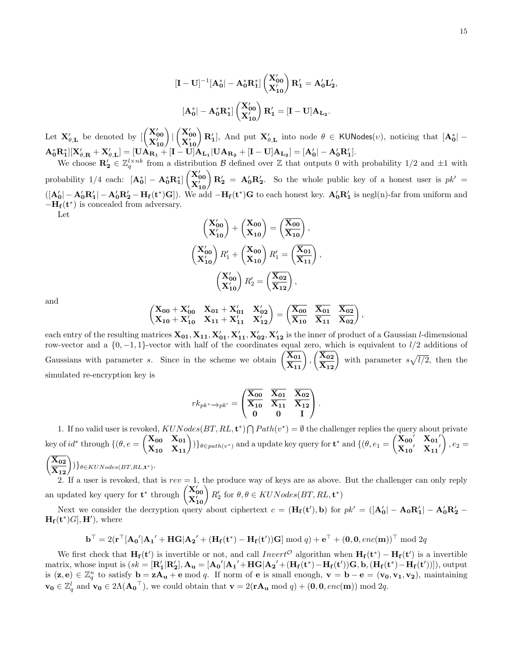$$
\begin{aligned} {}[{\bf I}-{\bf U}]^{-1} [{\bf A}_0^*] - {\bf A}_0^* {\bf R}_1^*] \begin{pmatrix} {\bf X}_{00}' \\ {\bf X}_{10}' \end{pmatrix} {\bf R}_1' &= {\bf A}_0' {\bf L}_2', \\[2mm] [{\bf A}_0^*] - {\bf A}_0^* {\bf R}_1^*] \begin{pmatrix} {\bf X}_{00}' \\ {\bf X}_{10}' \end{pmatrix} {\bf R}_1' &= [{\bf I}-{\bf U}] {\bf A}_{{\bf L}_2}. \end{aligned}
$$

Let  $\mathbf{X}'_{\theta,\mathbf{L}}$  be denoted by  $\begin{bmatrix} (\mathbf{X}'_{00}) \\ \mathbf{X}'_{10} \end{bmatrix} \begin{bmatrix} (\mathbf{X}'_{00}) \\ \mathbf{X}'_{10} \end{bmatrix} \mathbf{R}'_{1}$ , And put  $\mathbf{X}'_{\theta,\mathbf{L}}$  into node  $\theta \in \mathsf{KUNodes}(v)$ , noticing that  $[\mathbf{A}^*_{0}]$  - $\mathbf{A}_0^*\mathbf{R}_1^*[[\mathbf{X}_{\theta,\mathbf{R}}'+\mathbf{X}_{\theta,\mathbf{L}}'] = [\mathbf{U}\mathbf{A}_{\mathbf{R_1}}+[\mathbf{I}-\mathbf{U}]\mathbf{A}_{\mathbf{L_1}}]\mathbf{U}\mathbf{A}_{\mathbf{R_2}}+[\mathbf{I}-\mathbf{U}]\mathbf{A}_{\mathbf{L_2}}] = [\mathbf{A}_0'] - \mathbf{A}_0'\mathbf{R}_1'].$ 

We choose  $\mathbf{R}'_2 \in \mathbb{Z}_q^{l \times nk}$  from a distribution  $\mathcal{B}$  defined over  $\mathbb Z$  that outputs 0 with probability 1/2 and  $\pm 1$  with probability 1/4 each:  $[\mathbf{A}_0^*] - \mathbf{A}_0^* \mathbf{R}_1^* \begin{pmatrix} \mathbf{X}'_{00} \\ \mathbf{X}'_{10} \end{pmatrix} \mathbf{R}'_2 = \mathbf{A}'_0 \mathbf{R}'_2$ . So the whole public key of a honest user is  $pk' =$  $([A'_0]-A'_0R'_1]-A'_0R'_2-H_f(t^*)G]$ . We add  $-H_f(t^*)G$  to each honest key.  $A'_0R'_1$  is negl(n)-far from uniform and *−***Hf**(**t** *∗* ) is concealed from adversary.

Let

$$
\begin{pmatrix} X'_{00} \ X'_{10} \end{pmatrix} + \begin{pmatrix} X_{00} \ X_{10} \end{pmatrix} = \begin{pmatrix} \overline{X_{00}} \\ \overline{X_{10}} \end{pmatrix},
$$

$$
\begin{pmatrix} X'_{00} \ X'_{10} \end{pmatrix} R'_1 + \begin{pmatrix} X_{00} \ X_{10} \end{pmatrix} R'_1 = \begin{pmatrix} \overline{X_{01}} \\ \overline{X_{11}} \end{pmatrix},
$$

$$
\begin{pmatrix} X'_{00} \\ X'_{10} \end{pmatrix} R'_2 = \begin{pmatrix} \overline{X_{02}} \\ \overline{X_{12}} \end{pmatrix},
$$

and

$$
\begin{pmatrix} X_{00} + X'_{00} & X_{01} + X'_{01} & X'_{02} \\ X_{10} + X'_{10} & X_{11} + X'_{11} & X'_{12} \end{pmatrix} = \begin{pmatrix} \overline{X_{00}} & \overline{X_{01}} & \overline{X_{02}} \\ \overline{X_{10}} & \overline{X_{11}} & \overline{X_{02}} \end{pmatrix}
$$

*,*

each entry of the resulting matrices  $X_{01}, X_{11}, X'_{01}, X'_{11}, X'_{02}, X'_{12}$  is the inner of product of a Gaussian *l*-dimensional row-vector and a *{*0*, −*1*,* 1*}*-vector with half of the coordinates equal zero, which is equivalent to *l/*2 additions of Gaussians with parameter *s*. Since in the scheme we obtain  $\left(\frac{\mathbf{X_{01}}}{\mathbf{X_{11}}}\right)$ ,  $\left(\frac{\mathbf{X_{02}}}{\mathbf{X_{12}}}\right)$  with parameter  $s\sqrt{l/2}$ , then the simulated re-encryption key is

$$
rk_{pk^* \rightarrow pk'} = \begin{pmatrix} \overline{\mathbf{X_{00}}} & \overline{\mathbf{X_{01}}} & \overline{\mathbf{X_{02}}} \\ \overline{\mathbf{X_{10}}} & \overline{\mathbf{X_{11}}} & \overline{\mathbf{X_{12}}} \\ \mathbf{0} & \mathbf{0} & \mathbf{I} \end{pmatrix}.
$$

1. If no valid user is revoked,  $KUNodes(BT, RL, t^*) \bigcap Path(v^*) = \emptyset$  the challenger replies the query about private  $\begin{aligned} \text{key of } id^* \text{ through } \{(\theta, e = \begin{pmatrix} \mathbf{X_{00}} & \mathbf{X_{01}} \ \mathbf{X_{10}} & \mathbf{X_{11}} \end{pmatrix})\}_{\theta \in path(v^*)} \text{ and a update key query for } \mathbf{t}^* \text{ and } \{(\theta, e_1 = \begin{pmatrix} \mathbf{X_{00}}' & \mathbf{X_{01}}' \ \mathbf{X_{10}}' & \mathbf{X_{11}}' \end{pmatrix}\} \} \end{aligned}$  $\mathbf{X_{10}}' \quad \mathbf{X_{11}}'$  $\Big)$ ,  $e_2=$  $\left(\frac{\mathbf{X}_{02}}{\mathbf{X}_{12}}\right)$ ) $\}$ θ $\in$ KUNodes(BT,RL,**t**\*) $\cdot$ 

2. If a user is revoked, that is  $rev = 1$ , the produce way of keys are as above. But the challenger can only reply an updated key query for  $\mathbf{t}^*$  through  $\begin{pmatrix} \mathbf{X}'_{00} \\ \mathbf{X}'_{10} \end{pmatrix} R'_2$  for  $\theta, \theta \in KUNodes(BT, RL, \mathbf{t}^*)$ 

Next we consider the decryption query about ciphertext  $c = (\mathbf{H}_{\mathbf{f}}(\mathbf{t}'), \mathbf{b})$  for  $pk' = ([\mathbf{A}'_0] - \mathbf{A}_0 \mathbf{R}'_1] - \mathbf{A}'_0 \mathbf{R}'_2$  $\mathbf{H}_{\mathbf{f}}(\mathbf{t}^*)G$ ,  $\mathbf{H}'$ ), where

$$
\mathbf{b}^{\top} = 2(\mathbf{r}^{\top}[\mathbf{A_0}'|\mathbf{A_1}' + \mathbf{H}\mathbf{G}|\mathbf{A_2}' + (\mathbf{H_f}(\mathbf{t}^*) - \mathbf{H_f}(\mathbf{t}'))\mathbf{G}] \bmod q) + \mathbf{e}^{\top} + (\mathbf{0}, \mathbf{0}, enc(\mathbf{m}))^{\top} \bmod 2q
$$

We first check that  $\mathbf{H}_{\mathbf{f}}(\mathbf{t}')$  is invertible or not, and call  $Invert^{\mathcal{O}}$  algorithm when  $\mathbf{H}_{\mathbf{f}}(\mathbf{t}^*) - \mathbf{H}_{\mathbf{f}}(\mathbf{t}')$  is a invertible matrix, whose input is  $(sk = [\mathbf{R}'_1|\mathbf{R}'_2], \mathbf{A}_u = [\mathbf{A_0}'|\mathbf{A_1}' + \mathbf{H}\mathbf{G}|\mathbf{A_2}' + (\mathbf{H}_f(\mathbf{t}^*) - \mathbf{H}_f(\mathbf{t}'))\mathbf{G}, \mathbf{b}, (\mathbf{H}_f(\mathbf{t}^*) - \mathbf{H}_f(\mathbf{t}'))]),$  output is  $(\mathbf{z}, \mathbf{e}) \in \mathbb{Z}_q^n$  to satisfy  $\mathbf{b} = \mathbf{z} \mathbf{A}_\mathbf{u} + \mathbf{e} \mod q$ . If norm of  $\mathbf{e}$  is small enough,  $\mathbf{v} = \mathbf{b} - \mathbf{e} = (\mathbf{v_0}, \mathbf{v_1}, \mathbf{v_2})$ , maintaining  $\mathbf{v_0} \in \mathbb{Z}_q^l$  and  $\mathbf{v_0} \in 2\Lambda(\mathbf{A_0}^{\top})$ , we could obtain that  $\mathbf{v} = 2(\mathbf{r} \mathbf{A_u} \mod q) + (\mathbf{0}, \mathbf{0}, enc(\mathbf{m})) \mod 2q$ .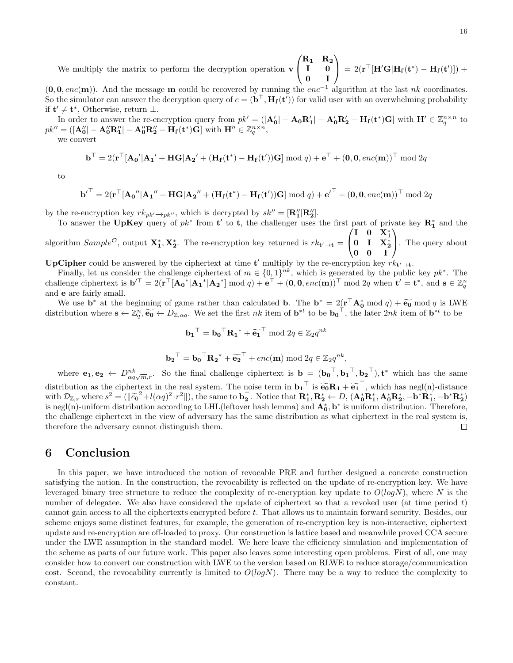We multiply the matrix to perform the decryption operation **v**  $\sqrt{ }$  $\overline{1}$  $\mathbf{R}_1$  **R**<sub>2</sub> **I 0 0 I**  $\setminus$  $= 2(\mathbf{r} \cdot [\mathbf{H}'\mathbf{G}|\mathbf{H}_{\mathbf{f}}(\mathbf{t}^*) - \mathbf{H}_{\mathbf{f}}(\mathbf{t}')]) +$ 

(**0***,* **0***, enc*(**m**)). And the message **m** could be recovered by running the *enc−*<sup>1</sup> algorithm at the last *nk* coordinates. So the simulator can answer the decryption query of  $c = (\mathbf{b}^+, \mathbf{H}_f(\mathbf{t}'))$  for valid user with an overwhelming probability if  $t' \neq t^*$ , Otherwise, return ⊥.

In order to answer the re-encryption query from  $pk' = (\mathbf{A'_0} - \mathbf{A_0} \mathbf{R'_1}) - \mathbf{A'_0} \mathbf{R'_2} - \mathbf{H_f}(\mathbf{t}^*)\mathbf{G}]$  with  $\mathbf{H'} \in \mathbb{Z}_q^{n \times n}$  to  $pk'' = ([A_0''] - A_0''R_1''] - A_0''R_2'' - H_f(t^*)G]$  with  $H'' \in \mathbb{Z}_q^{n \times n}$ , we convert

$$
\mathbf{b}^{\top} = 2(\mathbf{r}^{\top}[\mathbf{A_0}'|\mathbf{A_1}' + \mathbf{H}\mathbf{G}|\mathbf{A_2}' + (\mathbf{H_f}(\mathbf{t}^*) - \mathbf{H_f}(\mathbf{t}'))\mathbf{G}] \bmod q) + \mathbf{e}^{\top} + (\mathbf{0}, \mathbf{0}, enc(\mathbf{m}))^{\top} \bmod 2q
$$

to

$$
\mathbf{b'}^{\top} = 2(\mathbf{r}^{\top}[\mathbf{A_0}''|\mathbf{A_1}'' + \mathbf{H}\mathbf{G}|\mathbf{A_2}'' + (\mathbf{H_f}(\mathbf{t}^*) - \mathbf{H_f}(\mathbf{t}'))\mathbf{G}] \bmod q) + \mathbf{e'}^{\top} + (\mathbf{0}, \mathbf{0}, enc(\mathbf{m}))^{\top} \bmod 2q
$$

by the re-encryption key  $rk_{pk'} \rightarrow_{pk''}$ , which is decrypted by  $sk'' = [\mathbf{R}'_1 | \mathbf{R}''_2]$ .

To answer the UpKey query of  $pk^*$  from **t**' to **t**, the challenger uses the first part of private key  $\mathbf{R}_1^*$ **<sup>1</sup>** and the  $\sqrt{ }$  $\setminus$ 

algorithm  $Sample^{\mathcal{O}}$ , output  $\mathbf{X}_{1}^{*}, \mathbf{X}_{2}^{*}$ . The re-encryption key returned is  $rk_{\mathbf{t}' \to \mathbf{t}} =$  $\overline{1}$ **I 0 X***∗* **1 0 I X***∗* **2 0 0 I** . The query about

**UpCipher** could be answered by the ciphertext at time **t**' multiply by the re-encryption key  $rk_{t' \to t}$ .

Finally, let us consider the challenge ciphertext of  $m \in \{0,1\}^{nk}$ , which is generated by the public key  $pk^*$ . The challenge ciphertext is  $\mathbf{b}'^{\top} = 2(\mathbf{r}^{\top}[\mathbf{A_0}^*|\mathbf{A_1}^*|\mathbf{A_2}^*] \bmod q) + \mathbf{e}^{\top} + (\mathbf{0}, \mathbf{0}, enc(\mathbf{m}))^{\top} \bmod 2q$  when  $\mathbf{t}' = \mathbf{t}^*$ , and  $\mathbf{s} \in \mathbb{Z}_q^n$ and **e** are fairly small.

We use **b**<sup>\*</sup> at the beginning of game rather than calculated **b**. The **b**<sup>\*</sup> = 2(**r**<sup>⊥</sup>**A**<sup>\*</sup><sub>0</sub><sup>*n*</sup> mod *q*) +  $\widetilde{e_0}$  mod *q* is LWE intuition where  $s \leftarrow \mathbb{Z}^n$ ,  $\widetilde{e_0} \leftarrow D^*$ , we set the first *nk* item of distribution where  $\mathbf{s} \leftarrow \mathbb{Z}_q^n, \widetilde{\mathbf{e_0}} \leftarrow D_{\mathbb{Z},\alpha q}$ . We set the first  $nk$  item of  $\mathbf{b}^{*t}$  to be  $\mathbf{b_0}^{\top}$ , the later  $2nk$  item of  $\mathbf{b}^{*t}$  to be

$$
\mathbf{b_1}^{\top} = \mathbf{b_0}^{\top} \mathbf{R_1}^* + \widetilde{\mathbf{e_1}}^{\top} \bmod 2q \in \mathbb{Z}_2 q^{nk}
$$

$$
\mathbf{b_2}^{\top} = \mathbf{b_0}^{\top} \mathbf{R_2}^* + \widetilde{\mathbf{e_2}}^{\top} + enc(\mathbf{m}) \bmod 2q \in \mathbb{Z}_2 q^{nk},
$$

where  $\mathbf{e_1}, \mathbf{e_2} \leftarrow D_{\alpha q \sqrt{m},r}^{nk}$ . So the final challenge ciphertext is  $\mathbf{b} = (\mathbf{b_0}^\top, \mathbf{b_1}^\top, \mathbf{b_2}^\top), \mathbf{t}^*$  which has the same distribution as the ciphertext in the real system. The noise term in  $\mathbf{b}_1^{\top}$  is  $\widetilde{\mathbf{e}_0} \mathbf{R}_1 + \widetilde{\mathbf{e}_1}^{\top}$ , which has negl(n)-distance<br>with  $\mathcal{D}_{\mathbf{z}}$ , where  $s^2 = (\mathbb{I}\widetilde{\epsilon}_2^2 + \mathbb{I}(\alpha q)^2 \cdot r^2 \mathbb{$ with  $\mathcal{D}_{\mathbb{Z},s}$  where  $s^2 = (\|\tilde{e_0}^2 + l(\alpha q)^2 \cdot r^2\|)$ , the same to  $\mathbf{b}_2^T$ . Notice that  $\mathbf{R}_1^*, \mathbf{R}_2^* \leftarrow D$ ,  $(\mathbf{A}_0^* \mathbf{R}_1^*, \mathbf{A}_0^* \mathbf{R}_2^*, -\mathbf{b}^* \mathbf{R}_1^*, -\mathbf{b}^* \mathbf{R}_2^*)$ <br>is negl(n)-uniform di is negl(n)-uniform distribution according to LHL(leftover hash lemma) and  $\mathbf{A}_0^*, \mathbf{b}^*$  is uniform distribution. Therefore, the challenge ciphertext in the view of adversary has the same distribution as what ciphertext in the real system is, therefore the adversary cannot distinguish them.  $\Box$ 

# **6 Conclusion**

In this paper, we have introduced the notion of revocable PRE and further designed a concrete construction satisfying the notion. In the construction, the revocability is reflected on the update of re-encryption key. We have leveraged binary tree structure to reduce the complexity of re-encryption key update to *O*(*logN*), where *N* is the number of delegatee. We also have considered the update of ciphertext so that a revoked user (at time period *t*) cannot gain access to all the ciphertexts encrypted before *t*. That allows us to maintain forward security. Besides, our scheme enjoys some distinct features, for example, the generation of re-encryption key is non-interactive, ciphertext update and re-encryption are off-loaded to proxy. Our construction is lattice based and meanwhile proved CCA secure under the LWE assumption in the standard model. We here leave the efficiency simulation and implementation of the scheme as parts of our future work. This paper also leaves some interesting open problems. First of all, one may consider how to convert our construction with LWE to the version based on RLWE to reduce storage/communication cost. Second, the revocability currently is limited to *O*(*logN*). There may be a way to reduce the complexity to constant.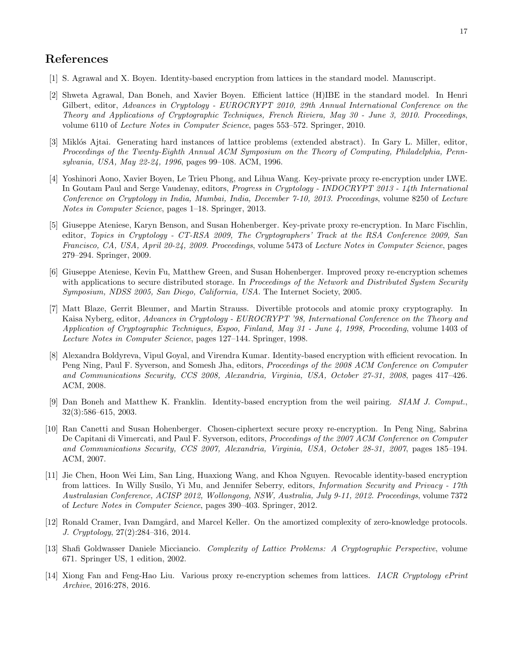# **References**

- [1] S. Agrawal and X. Boyen. Identity-based encryption from lattices in the standard model. Manuscript.
- [2] Shweta Agrawal, Dan Boneh, and Xavier Boyen. Efficient lattice (H)IBE in the standard model. In Henri Gilbert, editor, *Advances in Cryptology - EUROCRYPT 2010, 29th Annual International Conference on the Theory and Applications of Cryptographic Techniques, French Riviera, May 30 - June 3, 2010. Proceedings*, volume 6110 of *Lecture Notes in Computer Science*, pages 553–572. Springer, 2010.
- [3] Miklós Ajtai. Generating hard instances of lattice problems (extended abstract). In Gary L. Miller, editor, *Proceedings of the Twenty-Eighth Annual ACM Symposium on the Theory of Computing, Philadelphia, Pennsylvania, USA, May 22-24, 1996*, pages 99–108. ACM, 1996.
- [4] Yoshinori Aono, Xavier Boyen, Le Trieu Phong, and Lihua Wang. Key-private proxy re-encryption under LWE. In Goutam Paul and Serge Vaudenay, editors, *Progress in Cryptology - INDOCRYPT 2013 - 14th International Conference on Cryptology in India, Mumbai, India, December 7-10, 2013. Proceedings*, volume 8250 of *Lecture Notes in Computer Science*, pages 1–18. Springer, 2013.
- [5] Giuseppe Ateniese, Karyn Benson, and Susan Hohenberger. Key-private proxy re-encryption. In Marc Fischlin, editor, *Topics in Cryptology - CT-RSA 2009, The Cryptographers' Track at the RSA Conference 2009, San Francisco, CA, USA, April 20-24, 2009. Proceedings*, volume 5473 of *Lecture Notes in Computer Science*, pages 279–294. Springer, 2009.
- [6] Giuseppe Ateniese, Kevin Fu, Matthew Green, and Susan Hohenberger. Improved proxy re-encryption schemes with applications to secure distributed storage. In *Proceedings of the Network and Distributed System Security Symposium, NDSS 2005, San Diego, California, USA*. The Internet Society, 2005.
- [7] Matt Blaze, Gerrit Bleumer, and Martin Strauss. Divertible protocols and atomic proxy cryptography. In Kaisa Nyberg, editor, *Advances in Cryptology - EUROCRYPT '98, International Conference on the Theory and Application of Cryptographic Techniques, Espoo, Finland, May 31 - June 4, 1998, Proceeding*, volume 1403 of *Lecture Notes in Computer Science*, pages 127–144. Springer, 1998.
- [8] Alexandra Boldyreva, Vipul Goyal, and Virendra Kumar. Identity-based encryption with efficient revocation. In Peng Ning, Paul F. Syverson, and Somesh Jha, editors, *Proceedings of the 2008 ACM Conference on Computer and Communications Security, CCS 2008, Alexandria, Virginia, USA, October 27-31, 2008*, pages 417–426. ACM, 2008.
- [9] Dan Boneh and Matthew K. Franklin. Identity-based encryption from the weil pairing. *SIAM J. Comput.*, 32(3):586–615, 2003.
- [10] Ran Canetti and Susan Hohenberger. Chosen-ciphertext secure proxy re-encryption. In Peng Ning, Sabrina De Capitani di Vimercati, and Paul F. Syverson, editors, *Proceedings of the 2007 ACM Conference on Computer and Communications Security, CCS 2007, Alexandria, Virginia, USA, October 28-31, 2007*, pages 185–194. ACM, 2007.
- [11] Jie Chen, Hoon Wei Lim, San Ling, Huaxiong Wang, and Khoa Nguyen. Revocable identity-based encryption from lattices. In Willy Susilo, Yi Mu, and Jennifer Seberry, editors, *Information Security and Privacy - 17th Australasian Conference, ACISP 2012, Wollongong, NSW, Australia, July 9-11, 2012. Proceedings*, volume 7372 of *Lecture Notes in Computer Science*, pages 390–403. Springer, 2012.
- [12] Ronald Cramer, Ivan Damgård, and Marcel Keller. On the amortized complexity of zero-knowledge protocols. *J. Cryptology*, 27(2):284–316, 2014.
- [13] Shafi Goldwasser Daniele Micciancio. *Complexity of Lattice Problems: A Cryptographic Perspective*, volume 671. Springer US, 1 edition, 2002.
- [14] Xiong Fan and Feng-Hao Liu. Various proxy re-encryption schemes from lattices. *IACR Cryptology ePrint Archive*, 2016:278, 2016.